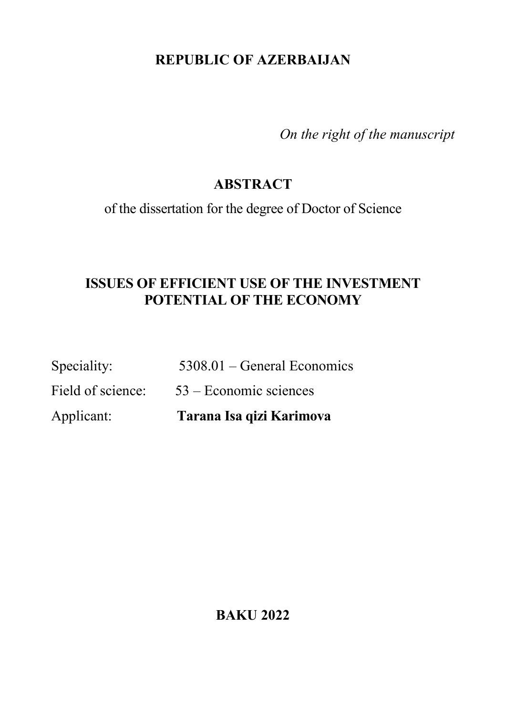# **REPUBLIC OF AZERBAIJAN**

*On the right of the manuscript*

## **ABSTRACT**

of the dissertation for the degree of Doctor of Science

## **ISSUES OF EFFICIENT USE OF THE INVESTMENT POTENTIAL OF THE ECONOMY**

| Applicant:        | Tarana Isa qizi Karimova      |
|-------------------|-------------------------------|
| Field of science: | $53 -$ Economic sciences      |
| Speciality:       | $5308.01$ – General Economics |

**BAKU 2022**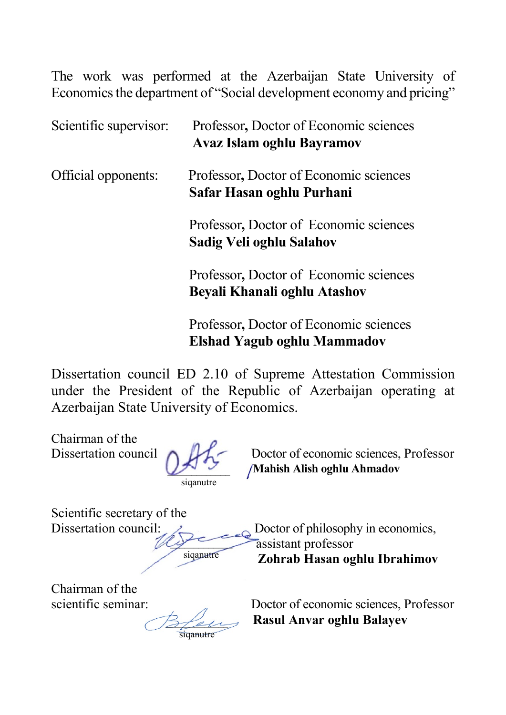The work was performed at the Azerbaijan State University of Economics the department of "Social development economy and pricing"

| Scientific supervisor: | Professor, Doctor of Economic sciences<br><b>Avaz Islam oghlu Bayramov</b> |
|------------------------|----------------------------------------------------------------------------|
| Official opponents:    | Professor, Doctor of Economic sciences<br>Safar Hasan oghlu Purhani        |
|                        | Professor, Doctor of Economic sciences<br>Sadig Veli oghlu Salahov         |
|                        | Professor, Doctor of Economic sciences<br>Beyali Khanali oghlu Atashov     |

 Professor**,** Doctor of Economic sciences **Elshad Yagub oghlu Mammadov**

Dissertation council ED 2.10 of Supreme Attestation Commission under the President of the Republic of Azerbaijan operating at Azerbaijan State University of Economics.

Chairman of the

 $\mathcal{L}$ siqanutre

Dissertation council **b D**<sub>D</sub><sup> $\angle$ </sup> Doctor of economic sciences, Professor **Mahish Alish oghlu Ahmadov** 

Scientific secretary of the

 $y^2$ siqanutre

Dissertation council:  $\angle$  Doctor of philosophy in economics, assistant professor  **Zohrab Hasan oghlu Ibrahimov**

Chairman of the

 $\mathcal{Z}/\mathcal{Z}$ siqanutre

scientific seminar:Doctor of economic sciences, Professor  **Rasul Anvar oghlu Balayev**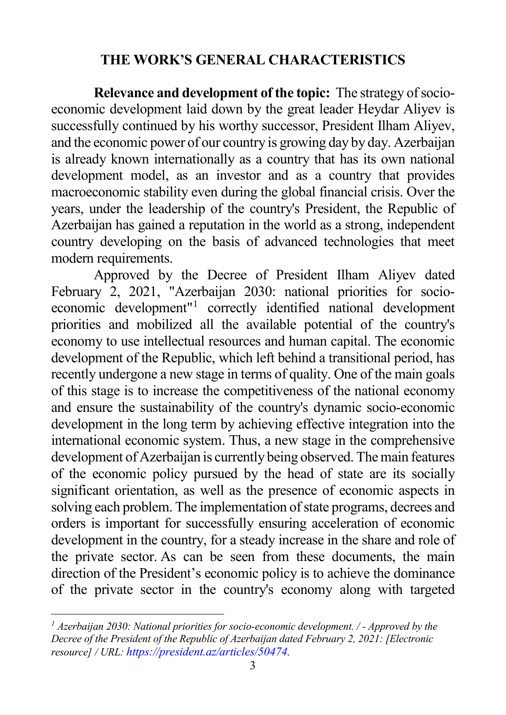### <span id="page-2-0"></span>**THE WORK'S GENERAL CHARACTERISTICS**

**Relevance and development of the topic:** The strategy of socioeconomic development laid down by the great leader Heydar Aliyev is successfully continued by his worthy successor, President Ilham Aliyev, and the economic power of our country is growing day by day. Azerbaijan is already known internationally as a country that has its own national development model, as an investor and as a country that provides macroeconomic stability even during the global financial crisis. Over the years, under the leadership of the country's President, the Republic of Azerbaijan has gained a reputation in the world as a strong, independent country developing on the basis of advanced technologies that meet modern requirements.

Approved by the Decree of President Ilham Aliyev dated February 2, 2021, "Azerbaijan 2030: national priorities for socioeconomic development"[1](#page-2-0) correctly identified national development priorities and mobilized all the available potential of the country's economy to use intellectual resources and human capital. The economic development of the Republic, which left behind a transitional period, has recently undergone a new stage in terms of quality. One of the main goals of this stage is to increase the competitiveness of the national economy and ensure the sustainability of the country's dynamic socio-economic development in the long term by achieving effective integration into the international economic system. Thus, a new stage in the comprehensive development of Azerbaijan is currently being observed. The main features of the economic policy pursued by the head of state are its socially significant orientation, as well as the presence of economic aspects in solving each problem. The implementation of state programs, decrees and orders is important for successfully ensuring acceleration of economic development in the country, for a steady increase in the share and role of the private sector. As can be seen from these documents, the main direction of the President's economic policy is to achieve the dominance of the private sector in the country's economy along with targeted

*<sup>1</sup> Azerbaijan 2030: National priorities for socio-economic development. / - Approved by the Decree of the President of the Republic of Azerbaijan dated February 2, 2021: [Electronic resource] / URL[: https://president.az/articles/50474.](https://president.az/articles/50474)*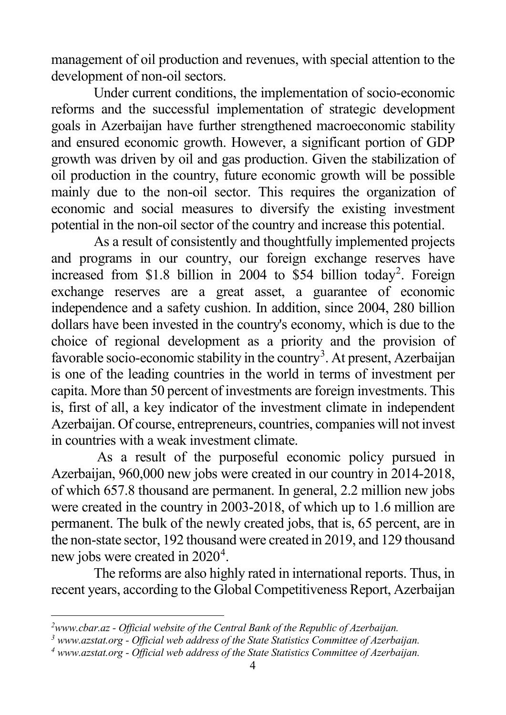<span id="page-3-2"></span><span id="page-3-1"></span><span id="page-3-0"></span>management of oil production and revenues, with special attention to the development of non-oil sectors.

Under current conditions, the implementation of socio-economic reforms and the successful implementation of strategic development goals in Azerbaijan have further strengthened macroeconomic stability and ensured economic growth. However, a significant portion of GDP growth was driven by oil and gas production. Given the stabilization of oil production in the country, future economic growth will be possible mainly due to the non-oil sector. This requires the organization of economic and social measures to diversify the existing investment potential in the non-oil sector of the country and increase this potential.

As a result of consistently and thoughtfully implemented projects and programs in our country, our foreign exchange reserves have increased from \$1.8 billion in [2](#page-3-0)004 to \$54 billion today<sup>2</sup>. Foreign exchange reserves are a great asset, a guarantee of economic independence and a safety cushion. In addition, since 2004, 280 billion dollars have been invested in the country's economy, which is due to the choice of regional development as a priority and the provision of favorable socio-economic stability in the country<sup>[3](#page-3-1)</sup>. At present, Azerbaijan is one of the leading countries in the world in terms of investment per capita. More than 50 percent of investments are foreign investments. This is, first of all, a key indicator of the investment climate in independent Azerbaijan. Of course, entrepreneurs, countries, companies will not invest in countries with a weak investment climate.

As a result of the purposeful economic policy pursued in Azerbaijan, 960,000 new jobs were created in our country in 2014-2018, of which 657.8 thousand are permanent. In general, 2.2 million new jobs were created in the country in 2003-2018, of which up to 1.6 million are permanent. The bulk of the newly created jobs, that is, 65 percent, are in the non-state sector, 192 thousand were created in 2019, and 129 thousand new jobs were created in 2020<sup>[4](#page-3-2)</sup>.

The reforms are also highly rated in international reports. Thus, in recent years, according to the Global Competitiveness Report, Azerbaijan

*<sup>2</sup>www.cbar.az - Official website of the Central Bank of the Republic of Azerbaijan.*

*<sup>3</sup> www.azstat.org - Official web address of the State Statistics Committee of Azerbaijan.*

*<sup>4</sup> www.azstat.org - Official web address of the State Statistics Committee of Azerbaijan.*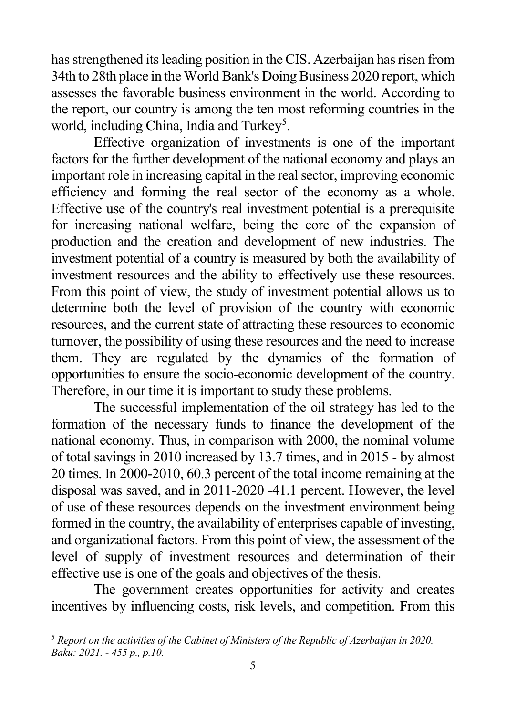<span id="page-4-0"></span>has strengthened its leading position in the CIS. Azerbaijan has risen from 34th to 28th place in the World Bank's Doing Business 2020 report, which assesses the favorable business environment in the world. According to the report, our country is among the ten most reforming countries in the world, including China, India and Turkey<sup>[5](#page-4-0)</sup>.

Effective organization of investments is one of the important factors for the further development of the national economy and plays an important role in increasing capital in the real sector, improving economic efficiency and forming the real sector of the economy as a whole. Effective use of the country's real investment potential is a prerequisite for increasing national welfare, being the core of the expansion of production and the creation and development of new industries. The investment potential of a country is measured by both the availability of investment resources and the ability to effectively use these resources. From this point of view, the study of investment potential allows us to determine both the level of provision of the country with economic resources, and the current state of attracting these resources to economic turnover, the possibility of using these resources and the need to increase them. They are regulated by the dynamics of the formation of opportunities to ensure the socio-economic development of the country. Therefore, in our time it is important to study these problems.

The successful implementation of the oil strategy has led to the formation of the necessary funds to finance the development of the national economy. Thus, in comparison with 2000, the nominal volume of total savings in 2010 increased by 13.7 times, and in 2015 - by almost 20 times. In 2000-2010, 60.3 percent of the total income remaining at the disposal was saved, and in 2011-2020 -41.1 percent. However, the level of use of these resources depends on the investment environment being formed in the country, the availability of enterprises capable of investing, and organizational factors. From this point of view, the assessment of the level of supply of investment resources and determination of their effective use is one of the goals and objectives of the thesis.

The government creates opportunities for activity and creates incentives by influencing costs, risk levels, and competition. From this

*<sup>5</sup> Report on the activities of the Cabinet of Ministers of the Republic of Azerbaijan in 2020. Baku: 2021. - 455 p., p.10.*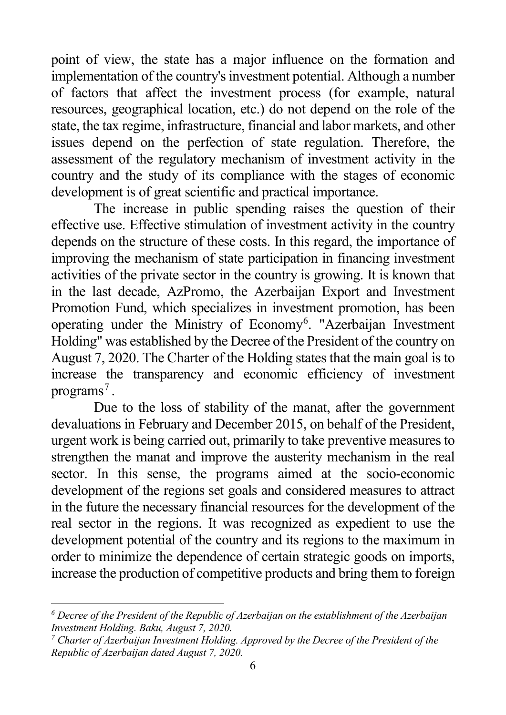<span id="page-5-1"></span><span id="page-5-0"></span>point of view, the state has a major influence on the formation and implementation of the country's investment potential. Although a number of factors that affect the investment process (for example, natural resources, geographical location, etc.) do not depend on the role of the state, the tax regime, infrastructure, financial and labor markets, and other issues depend on the perfection of state regulation. Therefore, the assessment of the regulatory mechanism of investment activity in the country and the study of its compliance with the stages of economic development is of great scientific and practical importance.

The increase in public spending raises the question of their effective use. Effective stimulation of investment activity in the country depends on the structure of these costs. In this regard, the importance of improving the mechanism of state participation in financing investment activities of the private sector in the country is growing. It is known that in the last decade, AzPromo, the Azerbaijan Export and Investment Promotion Fund, which specializes in investment promotion, has been operating under the Ministry of Economy<sup>[6](#page-5-0)</sup>. "Azerbaijan Investment Holding" was established by the Decree of the President of the country on August 7, 2020. The Charter of the Holding states that the main goal is to increase the transparency and economic efficiency of investment programs<sup>[7](#page-5-1)</sup>.

Due to the loss of stability of the manat, after the government devaluations in February and December 2015, on behalf of the President, urgent work is being carried out, primarily to take preventive measures to strengthen the manat and improve the austerity mechanism in the real sector. In this sense, the programs aimed at the socio-economic development of the regions set goals and considered measures to attract in the future the necessary financial resources for the development of the real sector in the regions. It was recognized as expedient to use the development potential of the country and its regions to the maximum in order to minimize the dependence of certain strategic goods on imports, increase the production of competitive products and bring them to foreign

*<sup>6</sup> Decree of the President of the Republic of Azerbaijan on the establishment of the Azerbaijan Investment Holding. Baku, August 7, 2020.*

*<sup>7</sup> Charter of Azerbaijan Investment Holding. Approved by the Decree of the President of the Republic of Azerbaijan dated August 7, 2020.*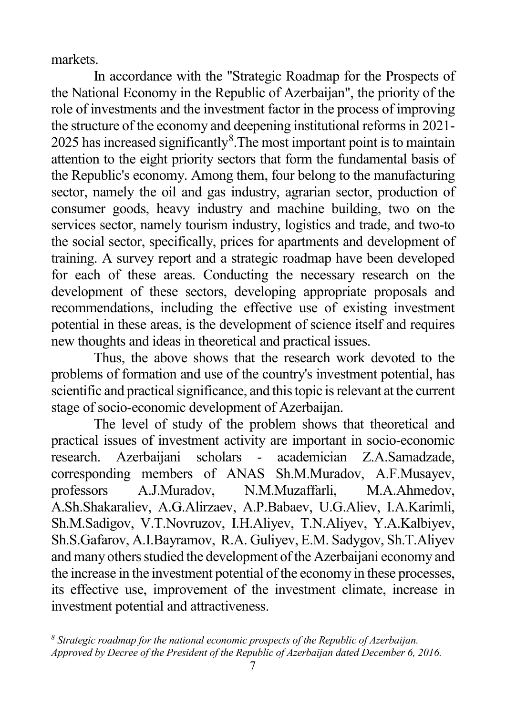<span id="page-6-0"></span>markets.

-

In accordance with the "Strategic Roadmap for the Prospects of the National Economy in the Republic of Azerbaijan", the priority of the role of investments and the investment factor in the process of improving the structure of the economy and deepening institutional reforms in 2021- 2025 has increased significantly ${}^{8}$  ${}^{8}$  ${}^{8}$ . The most important point is to maintain attention to the eight priority sectors that form the fundamental basis of the Republic's economy. Among them, four belong to the manufacturing sector, namely the oil and gas industry, agrarian sector, production of consumer goods, heavy industry and machine building, two on the services sector, namely tourism industry, logistics and trade, and two-to the social sector, specifically, prices for apartments and development of training. A survey report and a strategic roadmap have been developed for each of these areas. Conducting the necessary research on the development of these sectors, developing appropriate proposals and recommendations, including the effective use of existing investment potential in these areas, is the development of science itself and requires new thoughts and ideas in theoretical and practical issues.

Thus, the above shows that the research work devoted to the problems of formation and use of the country's investment potential, has scientific and practical significance, and this topic is relevant at the current stage of socio-economic development of Azerbaijan.

The level of study of the problem shows that theoretical and practical issues of investment activity are important in socio-economic research. Azerbaijani scholars - academician Z.A.Samadzade, corresponding members of ANAS Sh.M.Muradov, A.F.Musayev, professors A.J.Muradov, N.M.Muzaffarli, M.A.Ahmedov, A.Sh.Shakaraliev, A.G.Alirzaev, A.P.Babaev, U.G.Aliev, I.A.Karimli, Sh.M.Sadigov, V.T.Novruzov, I.H.Aliyev, T.N.Aliyev, Y.A.Kalbiyev, Sh.S.Gafarov, A.I.Bayramov, R.A. Guliyev, E.M. Sadygov, Sh.T.Aliyev and many others studied the development of the Azerbaijani economy and the increase in the investment potential of the economy in these processes, its effective use, improvement of the investment climate, increase in investment potential and attractiveness.

*<sup>8</sup> Strategic roadmap for the national economic prospects of the Republic of Azerbaijan. Approved by Decree of the President of the Republic of Azerbaijan dated December 6, 2016.*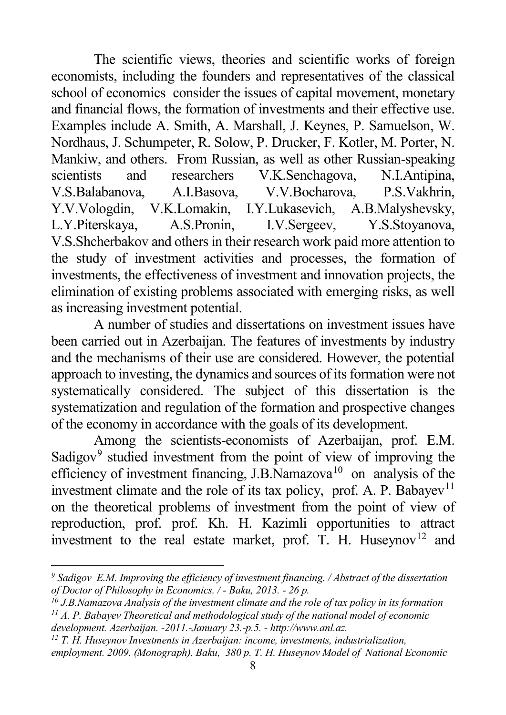<span id="page-7-3"></span><span id="page-7-2"></span><span id="page-7-1"></span><span id="page-7-0"></span>The scientific views, theories and scientific works of foreign economists, including the founders and representatives of the classical school of economics consider the issues of capital movement, monetary and financial flows, the formation of investments and their effective use. Examples include A. Smith, A. Marshall, J. Keynes, P. Samuelson, W. Nordhaus, J. Schumpeter, R. Solow, P. Drucker, F. Kotler, M. Porter, N. Mankiw, and others. From Russian, as well as other Russian-speaking scientists and researchers V.K.Senchagova, N.I.Antipina, V.S.Balabanova, A.I.Basova, V.V.Bocharova, P.S.Vakhrin, Y.V.Vologdin, V.K.Lomakin, I.Y.Lukasevich, A.B.Malyshevsky, L.Y.Piterskaya, A.S.Pronin, I.V.Sergeev, Y.S.Stoyanova, V.S.Shcherbakov and others in their research work paid more attention to the study of investment activities and processes, the formation of investments, the effectiveness of investment and innovation projects, the elimination of existing problems associated with emerging risks, as well as increasing investment potential.

A number of studies and dissertations on investment issues have been carried out in Azerbaijan. The features of investments by industry and the mechanisms of their use are considered. However, the potential approach to investing, the dynamics and sources of its formation were not systematically considered. The subject of this dissertation is the systematization and regulation of the formation and prospective changes of the economy in accordance with the goals of its development.

Among the scientists-economists of Azerbaijan, prof. E.M. Sadigov $9$  studied investment from the point of view of improving the efficiency of investment financing,  $J.B.\overline{N}$ amazova<sup>[10](#page-7-1)</sup> on analysis of the investment climate and the role of its tax policy, prof. A. P. Babayev<sup>[11](#page-7-2)</sup> on the theoretical problems of investment from the point of view of reproduction, prof. prof. Kh. H. Kazimli opportunities to attract investment to the real estate market, prof. T. H. Huseynov<sup>[12](#page-7-3)</sup> and

-

*<sup>12</sup> T. H. Huseynov Investments in Azerbaijan: income, investments, industrialization, employment. 2009. (Monograph). Baku, 380 p. T. H. Huseynov Model of National Economic* 

*<sup>9</sup> Sadigov E.M. Improving the efficiency of investment financing. / Abstract of the dissertation of Doctor of Philosophy in Economics. / - Baku, 2013. - 26 p.*

*<sup>10</sup> J.B.Namazova Analysis of the investment climate and the role of tax policy in its formation <sup>11</sup> A. P. Babayev Theoretical and methodological study of the national model of economic* 

*development. Azerbaijan. -2011.-January 23.-p.5. - http://www.anl.az.*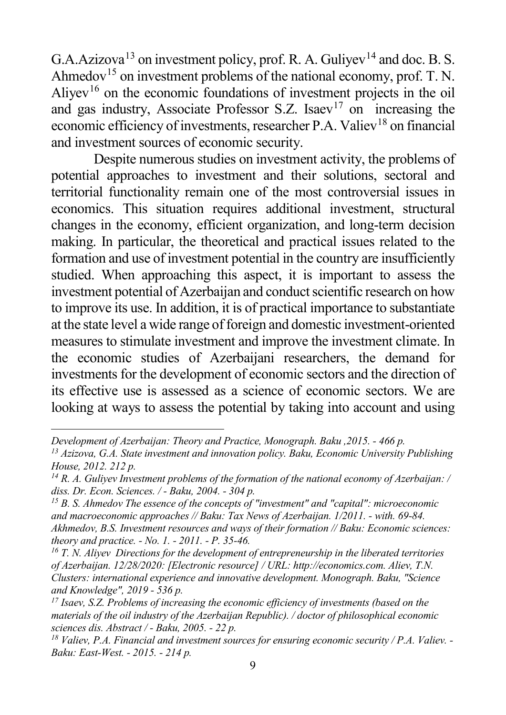<span id="page-8-5"></span><span id="page-8-4"></span><span id="page-8-3"></span><span id="page-8-2"></span><span id="page-8-1"></span><span id="page-8-0"></span>G.A.Azizova<sup>[13](#page-8-0)</sup> on investment policy, prof. R. A. Guliyev<sup>[14](#page-8-1)</sup> and doc. B. S. Ahmedov<sup>[15](#page-8-2)</sup> on investment problems of the national economy, prof. T. N. Aliyev<sup>[16](#page-8-3)</sup> on the economic foundations of investment projects in the oil and gas industry, Associate Professor S.Z. Isaev<sup>[17](#page-8-4)</sup> on increasing the economic efficiency of investments, researcher P.A. Valiev<sup>[18](#page-8-5)</sup> on financial and investment sources of economic security.

Despite numerous studies on investment activity, the problems of potential approaches to investment and their solutions, sectoral and territorial functionality remain one of the most controversial issues in economics. This situation requires additional investment, structural changes in the economy, efficient organization, and long-term decision making. In particular, the theoretical and practical issues related to the formation and use of investment potential in the country are insufficiently studied. When approaching this aspect, it is important to assess the investment potential of Azerbaijan and conduct scientific research on how to improve its use. In addition, it is of practical importance to substantiate at the state level a wide range of foreign and domestic investment-oriented measures to stimulate investment and improve the investment climate. In the economic studies of Azerbaijani researchers, the demand for investments for the development of economic sectors and the direction of its effective use is assessed as a science of economic sectors. We are looking at ways to assess the potential by taking into account and using

j

*<sup>15</sup> B. S. Ahmedov The essence of the concepts of "investment" and "capital": microeconomic and macroeconomic approaches // Baku: Tax News of Azerbaijan. 1/2011. - with. 69-84. Akhmedov, B.S. Investment resources and ways of their formation // Baku: Economic sciences: theory and practice. - No. 1. - 2011. - P. 35-46.*

*Development of Azerbaijan: Theory and Practice, Monograph. Baku ,2015. - 466 p.*

*<sup>13</sup> Azizova, G.A. State investment and innovation policy. Baku, Economic University Publishing House, 2012. 212 p.*

*<sup>14</sup> R. A. Guliyev Investment problems of the formation of the national economy of Azerbaijan: / diss. Dr. Econ. Sciences. / - Baku, 2004. - 304 p.*

*<sup>16</sup> T. N. Aliyev Directions for the development of entrepreneurship in the liberated territories of Azerbaijan. 12/28/2020: [Electronic resource] / URL: http://economics.com. Aliev, T.N. Clusters: international experience and innovative development. Monograph. Baku, "Science and Knowledge", 2019 - 536 p.*

*<sup>17</sup> Isaev, S.Z. Problems of increasing the economic efficiency of investments (based on the materials of the oil industry of the Azerbaijan Republic). / doctor of philosophical economic sciences dis. Abstract / - Baku, 2005. - 22 p.*

*<sup>18</sup> Valiev, P.A. Financial and investment sources for ensuring economic security / P.A. Valiev. - Baku: East-West. - 2015. - 214 p.*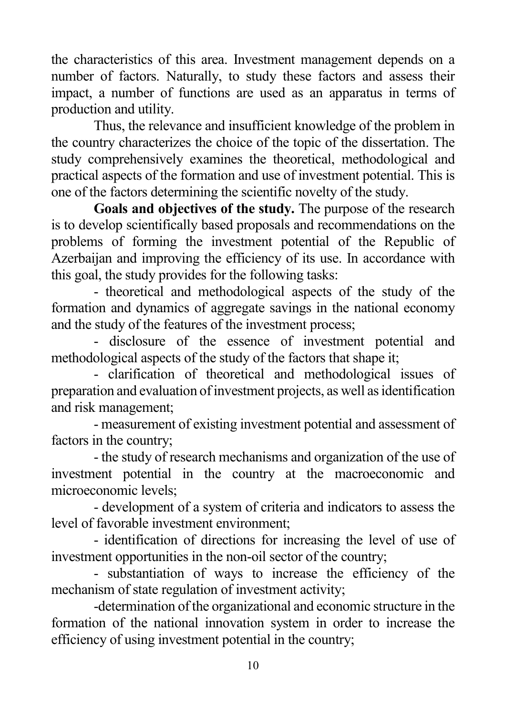the characteristics of this area. Investment management depends on a number of factors. Naturally, to study these factors and assess their impact, a number of functions are used as an apparatus in terms of production and utility.

Thus, the relevance and insufficient knowledge of the problem in the country characterizes the choice of the topic of the dissertation. The study comprehensively examines the theoretical, methodological and practical aspects of the formation and use of investment potential. This is one of the factors determining the scientific novelty of the study.

**Goals and objectives of the study.** The purpose of the research is to develop scientifically based proposals and recommendations on the problems of forming the investment potential of the Republic of Azerbaijan and improving the efficiency of its use. In accordance with this goal, the study provides for the following tasks:

- theoretical and methodological aspects of the study of the formation and dynamics of aggregate savings in the national economy and the study of the features of the investment process;

- disclosure of the essence of investment potential and methodological aspects of the study of the factors that shape it;

- clarification of theoretical and methodological issues of preparation and evaluation of investment projects, as well as identification and risk management;

- measurement of existing investment potential and assessment of factors in the country;

- the study of research mechanisms and organization of the use of investment potential in the country at the macroeconomic and microeconomic levels;

- development of a system of criteria and indicators to assess the level of favorable investment environment;

- identification of directions for increasing the level of use of investment opportunities in the non-oil sector of the country;

- substantiation of ways to increase the efficiency of the mechanism of state regulation of investment activity;

-determination of the organizational and economic structure in the formation of the national innovation system in order to increase the efficiency of using investment potential in the country;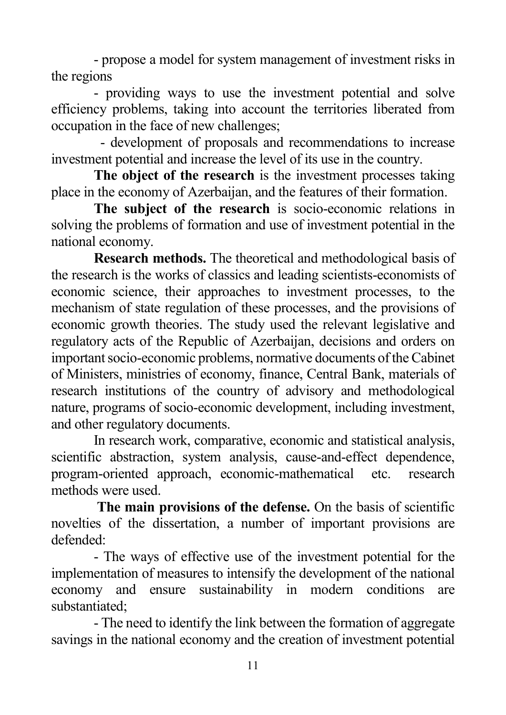- propose a model for system management of investment risks in the regions

- providing ways to use the investment potential and solve efficiency problems, taking into account the territories liberated from occupation in the face of new challenges;

 - development of proposals and recommendations to increase investment potential and increase the level of its use in the country.

**The object of the research** is the investment processes taking place in the economy of Azerbaijan, and the features of their formation.

**The subject of the research** is socio-economic relations in solving the problems of formation and use of investment potential in the national economy.

**Research methods.** The theoretical and methodological basis of the research is the works of classics and leading scientists-economists of economic science, their approaches to investment processes, to the mechanism of state regulation of these processes, and the provisions of economic growth theories. The study used the relevant legislative and regulatory acts of the Republic of Azerbaijan, decisions and orders on important socio-economic problems, normative documents of the Cabinet of Ministers, ministries of economy, finance, Central Bank, materials of research institutions of the country of advisory and methodological nature, programs of socio-economic development, including investment, and other regulatory documents.

In research work, comparative, economic and statistical analysis, scientific abstraction, system analysis, cause-and-effect dependence, program-oriented approach, economic-mathematical etc. research methods were used.

**The main provisions of the defense.** On the basis of scientific novelties of the dissertation, a number of important provisions are defended:

- The ways of effective use of the investment potential for the implementation of measures to intensify the development of the national economy and ensure sustainability in modern conditions are substantiated;

- The need to identify the link between the formation of aggregate savings in the national economy and the creation of investment potential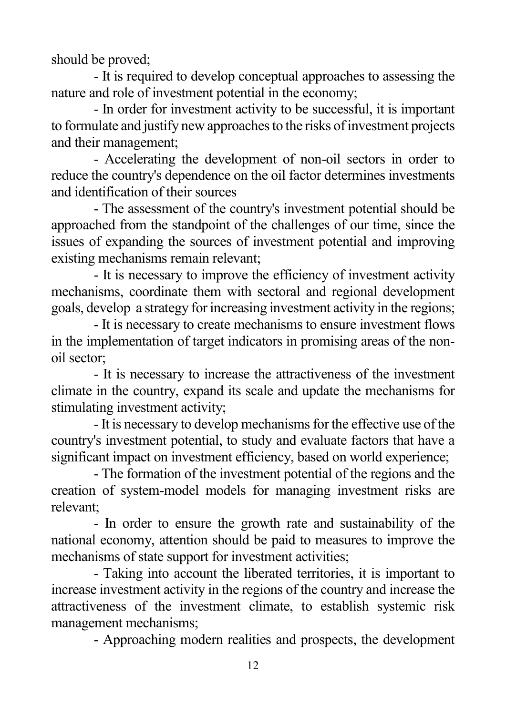should be proved;

- It is required to develop conceptual approaches to assessing the nature and role of investment potential in the economy;

- In order for investment activity to be successful, it is important to formulate and justify new approaches to the risks of investment projects and their management;

- Accelerating the development of non-oil sectors in order to reduce the country's dependence on the oil factor determines investments and identification of their sources

- The assessment of the country's investment potential should be approached from the standpoint of the challenges of our time, since the issues of expanding the sources of investment potential and improving existing mechanisms remain relevant;

- It is necessary to improve the efficiency of investment activity mechanisms, coordinate them with sectoral and regional development goals, develop a strategy for increasing investment activity in the regions;

- It is necessary to create mechanisms to ensure investment flows in the implementation of target indicators in promising areas of the nonoil sector;

- It is necessary to increase the attractiveness of the investment climate in the country, expand its scale and update the mechanisms for stimulating investment activity;

- It is necessary to develop mechanisms for the effective use of the country's investment potential, to study and evaluate factors that have a significant impact on investment efficiency, based on world experience;

- The formation of the investment potential of the regions and the creation of system-model models for managing investment risks are relevant;

- In order to ensure the growth rate and sustainability of the national economy, attention should be paid to measures to improve the mechanisms of state support for investment activities;

- Taking into account the liberated territories, it is important to increase investment activity in the regions of the country and increase the attractiveness of the investment climate, to establish systemic risk management mechanisms;

- Approaching modern realities and prospects, the development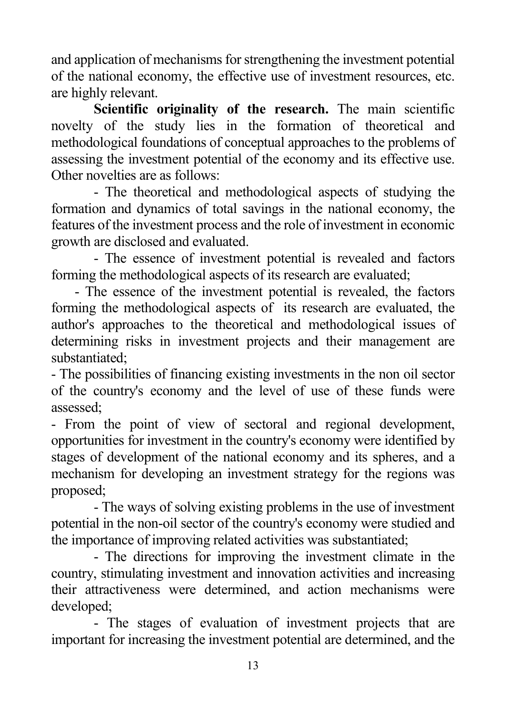and application of mechanisms for strengthening the investment potential of the national economy, the effective use of investment resources, etc. are highly relevant.

**Scientific originality of the research.** The main scientific novelty of the study lies in the formation of theoretical and methodological foundations of conceptual approaches to the problems of assessing the investment potential of the economy and its effective use. Other novelties are as follows:

- The theoretical and methodological aspects of studying the formation and dynamics of total savings in the national economy, the features of the investment process and the role of investment in economic growth are disclosed and evaluated.

- The essence of investment potential is revealed and factors forming the methodological aspects of its research are evaluated;

 - The essence of the investment potential is revealed, the factors forming the methodological aspects of its research are evaluated, the author's approaches to the theoretical and methodological issues of determining risks in investment projects and their management are substantiated;

- The possibilities of financing existing investments in the non oil sector of the country's economy and the level of use of these funds were assessed;

- From the point of view of sectoral and regional development, opportunities for investment in the country's economy were identified by stages of development of the national economy and its spheres, and a mechanism for developing an investment strategy for the regions was proposed;

- The ways of solving existing problems in the use of investment potential in the non-oil sector of the country's economy were studied and the importance of improving related activities was substantiated;

- The directions for improving the investment climate in the country, stimulating investment and innovation activities and increasing their attractiveness were determined, and action mechanisms were developed;

- The stages of evaluation of investment projects that are important for increasing the investment potential are determined, and the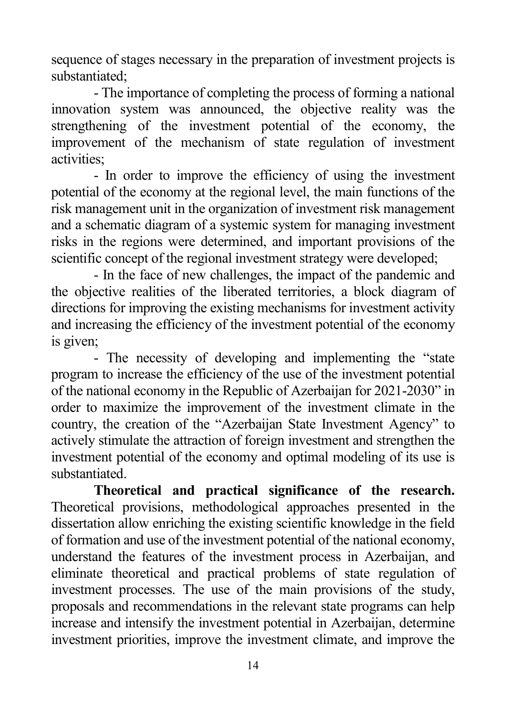sequence of stages necessary in the preparation of investment projects is substantiated;

- The importance of completing the process of forming a national innovation system was announced, the objective reality was the strengthening of the investment potential of the economy, the improvement of the mechanism of state regulation of investment activities;

- In order to improve the efficiency of using the investment potential of the economy at the regional level, the main functions of the risk management unit in the organization of investment risk management and a schematic diagram of a systemic system for managing investment risks in the regions were determined, and important provisions of the scientific concept of the regional investment strategy were developed;

- In the face of new challenges, the impact of the pandemic and the objective realities of the liberated territories, a block diagram of directions for improving the existing mechanisms for investment activity and increasing the efficiency of the investment potential of the economy is given;

- The necessity of developing and implementing the "state program to increase the efficiency of the use of the investment potential of the national economy in the Republic of Azerbaijan for 2021-2030" in order to maximize the improvement of the investment climate in the country, the creation of the "Azerbaijan State Investment Agency" to actively stimulate the attraction of foreign investment and strengthen the investment potential of the economy and optimal modeling of its use is substantiated.

**Theoretical and practical significance of the research.** Theoretical provisions, methodological approaches presented in the dissertation allow enriching the existing scientific knowledge in the field of formation and use of the investment potential of the national economy, understand the features of the investment process in Azerbaijan, and eliminate theoretical and practical problems of state regulation of investment processes. The use of the main provisions of the study, proposals and recommendations in the relevant state programs can help increase and intensify the investment potential in Azerbaijan, determine investment priorities, improve the investment climate, and improve the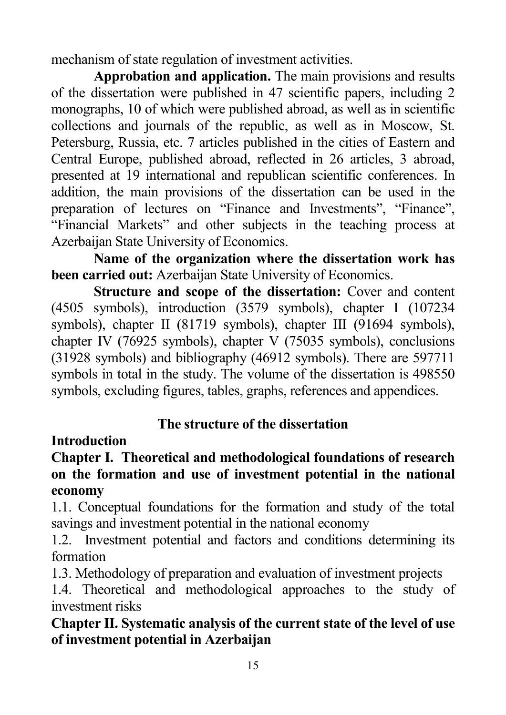mechanism of state regulation of investment activities.

**Approbation and application.** The main provisions and results of the dissertation were published in 47 scientific papers, including 2 monographs, 10 of which were published abroad, as well as in scientific collections and journals of the republic, as well as in Moscow, St. Petersburg, Russia, etc. 7 articles published in the cities of Eastern and Central Europe, published abroad, reflected in 26 articles, 3 abroad, presented at 19 international and republican scientific conferences. In addition, the main provisions of the dissertation can be used in the preparation of lectures on "Finance and Investments", "Finance", "Financial Markets" and other subjects in the teaching process at Azerbaijan State University of Economics.

**Name of the organization where the dissertation work has been carried out:** Azerbaijan State University of Economics.

**Structure and scope of the dissertation:** Cover and content (4505 symbols), introduction (3579 symbols), chapter I (107234 symbols), chapter II (81719 symbols), chapter III (91694 symbols), chapter IV (76925 symbols), chapter V (75035 symbols), conclusions (31928 symbols) and bibliography (46912 symbols). There are 597711 symbols in total in the study. The volume of the dissertation is 498550 symbols, excluding figures, tables, graphs, references and appendices.

## **The structure of the dissertation**

### **Introduction**

**Chapter I. Theoretical and methodological foundations of research on the formation and use of investment potential in the national economy**

1.1. Conceptual foundations for the formation and study of the total savings and investment potential in the national economy

1.2. Investment potential and factors and conditions determining its formation

1.3. Methodology of preparation and evaluation of investment projects

1.4. Theoretical and methodological approaches to the study of investment risks

## **Chapter II. Systematic analysis of the current state of the level of use of investment potential in Azerbaijan**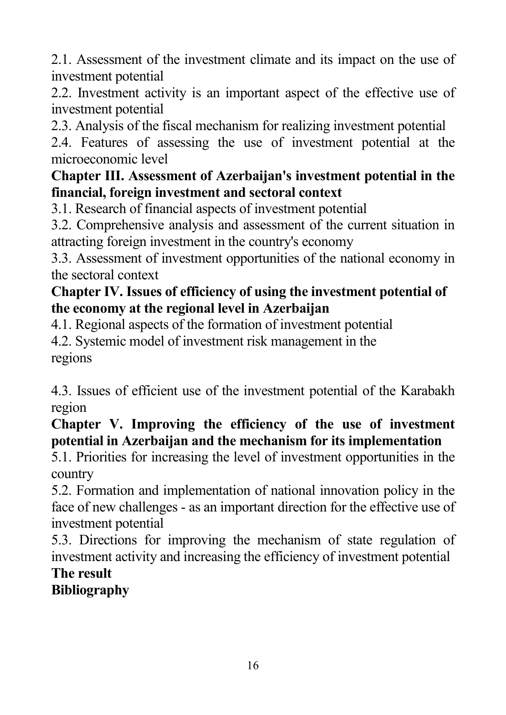2.1. Assessment of the investment climate and its impact on the use of investment potential

2.2. Investment activity is an important aspect of the effective use of investment potential

2.3. Analysis of the fiscal mechanism for realizing investment potential

2.4. Features of assessing the use of investment potential at the microeconomic level

## **Chapter III. Assessment of Azerbaijan's investment potential in the financial, foreign investment and sectoral context**

3.1. Research of financial aspects of investment potential

3.2. Comprehensive analysis and assessment of the current situation in attracting foreign investment in the country's economy

3.3. Assessment of investment opportunities of the national economy in the sectoral context

## **Chapter IV. Issues of efficiency of using the investment potential of the economy at the regional level in Azerbaijan**

4.1. Regional aspects of the formation of investment potential

4.2. Systemic model of investment risk management in the regions

4.3. Issues of efficient use of the investment potential of the Karabakh region

**Chapter V. Improving the efficiency of the use of investment potential in Azerbaijan and the mechanism for its implementation**

5.1. Priorities for increasing the level of investment opportunities in the country

5.2. Formation and implementation of national innovation policy in the face of new challenges - as an important direction for the effective use of investment potential

5.3. Directions for improving the mechanism of state regulation of investment activity and increasing the efficiency of investment potential

#### **The result Bibliography**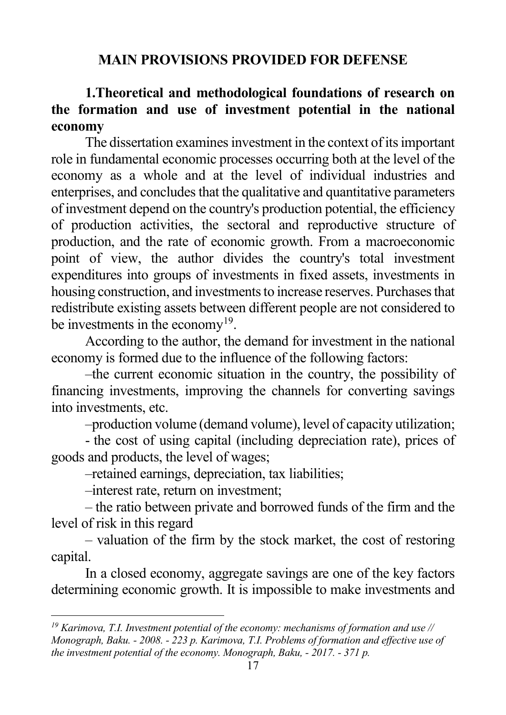#### <span id="page-16-0"></span>**MAIN PROVISIONS PROVIDED FOR DEFENSE**

### **1.Theoretical and methodological foundations of research on the formation and use of investment potential in the national economy**

The dissertation examines investment in the context of its important role in fundamental economic processes occurring both at the level of the economy as a whole and at the level of individual industries and enterprises, and concludes that the qualitative and quantitative parameters of investment depend on the country's production potential, the efficiency of production activities, the sectoral and reproductive structure of production, and the rate of economic growth. From a macroeconomic point of view, the author divides the country's total investment expenditures into groups of investments in fixed assets, investments in housing construction, and investments to increase reserves. Purchases that redistribute existing assets between different people are not considered to be investments in the economy<sup>[19](#page-16-0)</sup>.

According to the author, the demand for investment in the national economy is formed due to the influence of the following factors:

–the current economic situation in the country, the possibility of financing investments, improving the channels for converting savings into investments, etc.

–production volume (demand volume), level of capacity utilization;

- the cost of using capital (including depreciation rate), prices of goods and products, the level of wages;

–retained earnings, depreciation, tax liabilities;

–interest rate, return on investment;

-

– the ratio between private and borrowed funds of the firm and the level of risk in this regard

– valuation of the firm by the stock market, the cost of restoring capital.

In a closed economy, aggregate savings are one of the key factors determining economic growth. It is impossible to make investments and

*<sup>19</sup> Karimova, T.I. Investment potential of the economy: mechanisms of formation and use // Monograph, Baku. - 2008. - 223 p. Karimova, T.I. Problems of formation and effective use of the investment potential of the economy. Monograph, Baku, - 2017. - 371 p.*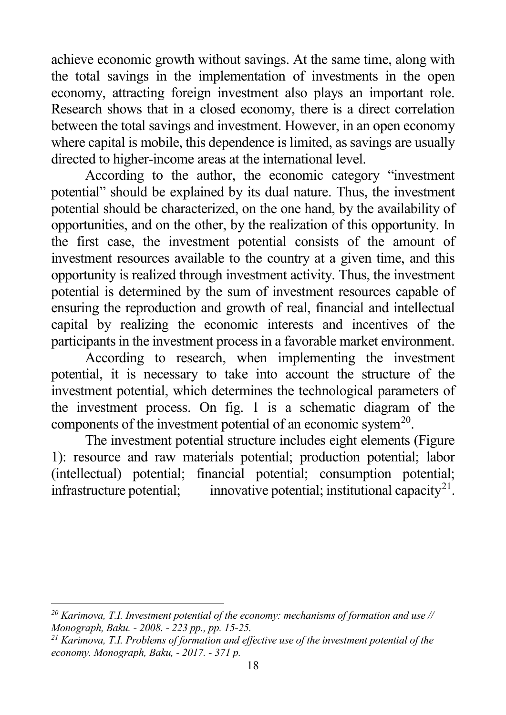<span id="page-17-1"></span><span id="page-17-0"></span>achieve economic growth without savings. At the same time, along with the total savings in the implementation of investments in the open economy, attracting foreign investment also plays an important role. Research shows that in a closed economy, there is a direct correlation between the total savings and investment. However, in an open economy where capital is mobile, this dependence is limited, as savings are usually directed to higher-income areas at the international level.

According to the author, the economic category "investment potential" should be explained by its dual nature. Thus, the investment potential should be characterized, on the one hand, by the availability of opportunities, and on the other, by the realization of this opportunity. In the first case, the investment potential consists of the amount of investment resources available to the country at a given time, and this opportunity is realized through investment activity. Thus, the investment potential is determined by the sum of investment resources capable of ensuring the reproduction and growth of real, financial and intellectual capital by realizing the economic interests and incentives of the participants in the investment process in a favorable market environment.

According to research, when implementing the investment potential, it is necessary to take into account the structure of the investment potential, which determines the technological parameters of the investment process. On fig. 1 is a schematic diagram of the components of the investment potential of an economic system<sup>20</sup>.

The investment potential structure includes eight elements (Figure 1): resource and raw materials potential; production potential; labor (intellectual) potential; financial potential; consumption potential; infrastructure potential; innovative potential; institutional capacity<sup>21</sup>.

*<sup>20</sup> Karimova, T.I. Investment potential of the economy: mechanisms of formation and use // Monograph, Baku. - 2008. - 223 pp., pp. 15-25. 21 Karimova, T.I. Problems of formation and effective use of the investment potential of the* 

*economy. Monograph, Baku, - 2017. - 371 p.*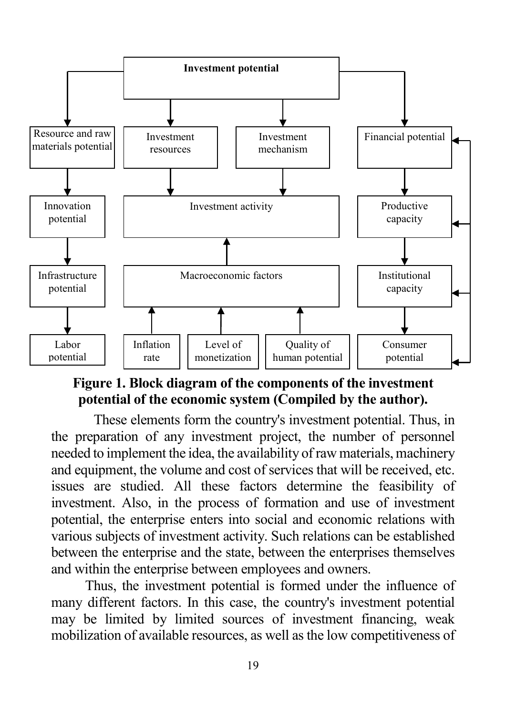

## **Figure 1. Block diagram of the components of the investment potential of the economic system (Compiled by the author).**

These elements form the country's investment potential. Thus, in the preparation of any investment project, the number of personnel needed to implement the idea, the availability of raw materials, machinery and equipment, the volume and cost of services that will be received, etc. issues are studied. All these factors determine the feasibility of investment. Also, in the process of formation and use of investment potential, the enterprise enters into social and economic relations with various subjects of investment activity. Such relations can be established between the enterprise and the state, between the enterprises themselves and within the enterprise between employees and owners.

Thus, the investment potential is formed under the influence of many different factors. In this case, the country's investment potential may be limited by limited sources of investment financing, weak mobilization of available resources, as well as the low competitiveness of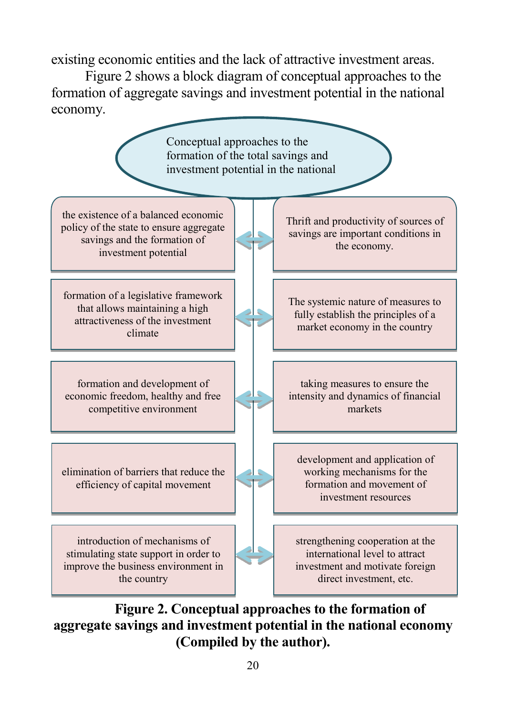existing economic entities and the lack of attractive investment areas.

Figure 2 shows a block diagram of conceptual approaches to the formation of aggregate savings and investment potential in the national economy.



**Figure 2. Conceptual approaches to the formation of aggregate savings and investment potential in the national economy (Compiled by the author).**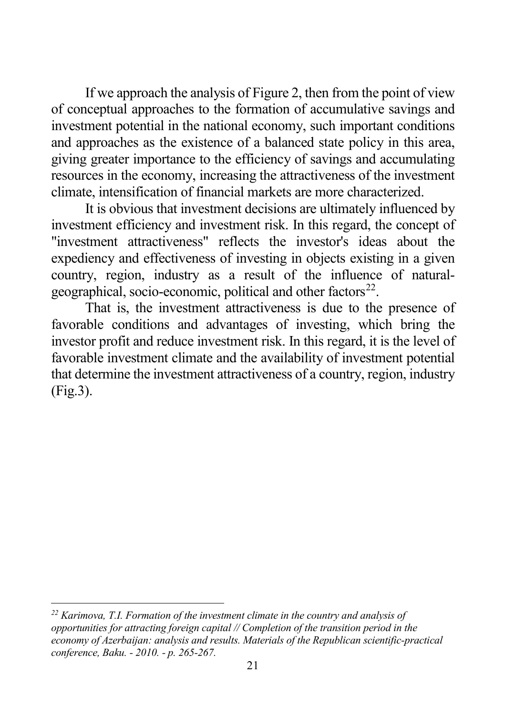<span id="page-20-0"></span>If we approach the analysis of Figure 2, then from the point of view of conceptual approaches to the formation of accumulative savings and investment potential in the national economy, such important conditions and approaches as the existence of a balanced state policy in this area, giving greater importance to the efficiency of savings and accumulating resources in the economy, increasing the attractiveness of the investment climate, intensification of financial markets are more characterized.

It is obvious that investment decisions are ultimately influenced by investment efficiency and investment risk. In this regard, the concept of "investment attractiveness" reflects the investor's ideas about the expediency and effectiveness of investing in objects existing in a given country, region, industry as a result of the influence of naturalgeographical, socio-economic, political and other factors $^{22}$ .

That is, the investment attractiveness is due to the presence of favorable conditions and advantages of investing, which bring the investor profit and reduce investment risk. In this regard, it is the level of favorable investment climate and the availability of investment potential that determine the investment attractiveness of a country, region, industry (Fig.3).

<sup>-</sup>*<sup>22</sup> Karimova, T.I. Formation of the investment climate in the country and analysis of opportunities for attracting foreign capital // Completion of the transition period in the economy of Azerbaijan: analysis and results. Materials of the Republican scientific-practical conference, Baku. - 2010. - p. 265-267.*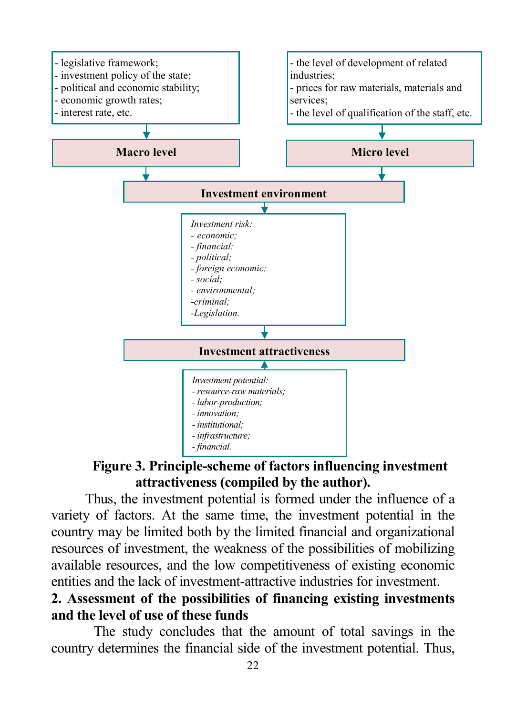

## **Figure 3. Principle-scheme of factors influencing investment attractiveness (compiled by the author).**

Thus, the investment potential is formed under the influence of a variety of factors. At the same time, the investment potential in the country may be limited both by the limited financial and organizational resources of investment, the weakness of the possibilities of mobilizing available resources, and the low competitiveness of existing economic entities and the lack of investment-attractive industries for investment.

#### **2. Assessment of the possibilities of financing existing investments and the level of use of these funds**

The study concludes that the amount of total savings in the country determines the financial side of the investment potential. Thus,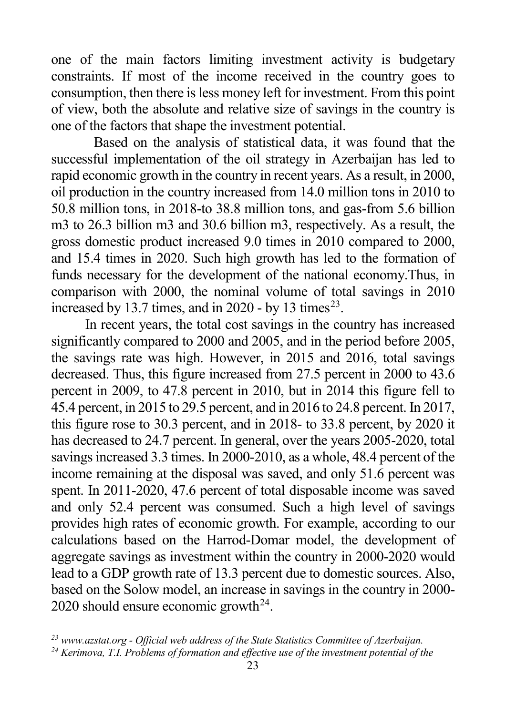<span id="page-22-1"></span><span id="page-22-0"></span>one of the main factors limiting investment activity is budgetary constraints. If most of the income received in the country goes to consumption, then there is less money left for investment. From this point of view, both the absolute and relative size of savings in the country is one of the factors that shape the investment potential.

Based on the analysis of statistical data, it was found that the successful implementation of the oil strategy in Azerbaijan has led to rapid economic growth in the country in recent years. As a result, in 2000, oil production in the country increased from 14.0 million tons in 2010 to 50.8 million tons, in 2018-to 38.8 million tons, and gas-from 5.6 billion m3 to 26.3 billion m3 and 30.6 billion m3, respectively. As a result, the gross domestic product increased 9.0 times in 2010 compared to 2000, and 15.4 times in 2020. Such high growth has led to the formation of funds necessary for the development of the national economy.Thus, in comparison with 2000, the nominal volume of total savings in 2010 increased by 13.7 times, and in 2020 - by 13 times<sup>[23](#page-22-0)</sup>.

In recent years, the total cost savings in the country has increased significantly compared to 2000 and 2005, and in the period before 2005, the savings rate was high. However, in 2015 and 2016, total savings decreased. Thus, this figure increased from 27.5 percent in 2000 to 43.6 percent in 2009, to 47.8 percent in 2010, but in 2014 this figure fell to 45.4 percent, in 2015 to 29.5 percent, and in 2016 to 24.8 percent. In 2017, this figure rose to 30.3 percent, and in 2018- to 33.8 percent, by 2020 it has decreased to 24.7 percent. In general, over the years 2005-2020, total savings increased 3.3 times. In 2000-2010, as a whole, 48.4 percent of the income remaining at the disposal was saved, and only 51.6 percent was spent. In 2011-2020, 47.6 percent of total disposable income was saved and only 52.4 percent was consumed. Such a high level of savings provides high rates of economic growth. For example, according to our calculations based on the Harrod-Domar model, the development of aggregate savings as investment within the country in 2000-2020 would lead to a GDP growth rate of 13.3 percent due to domestic sources. Also, based on the Solow model, an increase in savings in the country in 2000- 2020 should ensure economic growth<sup>24</sup>.

*<sup>23</sup> www.azstat.org - Official web address of the State Statistics Committee of Azerbaijan.*

*<sup>24</sup> Kerimova, T.I. Problems of formation and effective use of the investment potential of the*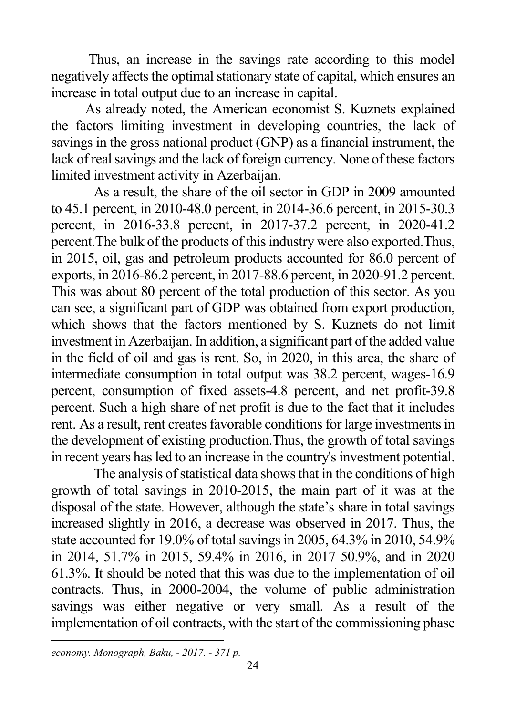Thus, an increase in the savings rate according to this model negatively affects the optimal stationary state of capital, which ensures an increase in total output due to an increase in capital.

As already noted, the American economist S. Kuznets explained the factors limiting investment in developing countries, the lack of savings in the gross national product (GNP) as a financial instrument, the lack of real savings and the lack of foreign currency. None of these factors limited investment activity in Azerbaijan.

As a result, the share of the oil sector in GDP in 2009 amounted to 45.1 percent, in 2010-48.0 percent, in 2014-36.6 percent, in 2015-30.3 percent, in 2016-33.8 percent, in 2017-37.2 percent, in 2020-41.2 percent.The bulk of the products of this industry were also exported.Thus, in 2015, oil, gas and petroleum products accounted for 86.0 percent of exports, in 2016-86.2 percent, in 2017-88.6 percent, in 2020-91.2 percent. This was about 80 percent of the total production of this sector. As you can see, a significant part of GDP was obtained from export production, which shows that the factors mentioned by S. Kuznets do not limit investment in Azerbaijan. In addition, a significant part of the added value in the field of oil and gas is rent. So, in 2020, in this area, the share of intermediate consumption in total output was 38.2 percent, wages-16.9 percent, consumption of fixed assets-4.8 percent, and net profit-39.8 percent. Such a high share of net profit is due to the fact that it includes rent. As a result, rent creates favorable conditions for large investments in the development of existing production.Thus, the growth of total savings in recent years has led to an increase in the country's investment potential.

The analysis of statistical data shows that in the conditions of high growth of total savings in 2010-2015, the main part of it was at the disposal of the state. However, although the state's share in total savings increased slightly in 2016, a decrease was observed in 2017. Thus, the state accounted for 19.0% of total savings in 2005, 64.3% in 2010, 54.9% in 2014, 51.7% in 2015, 59.4% in 2016, in 2017 50.9%, and in 2020 61.3%. It should be noted that this was due to the implementation of oil contracts. Thus, in 2000-2004, the volume of public administration savings was either negative or very small. As a result of the implementation of oil contracts, with the start of the commissioning phase

l *economy. Monograph, Baku, - 2017. - 371 p.*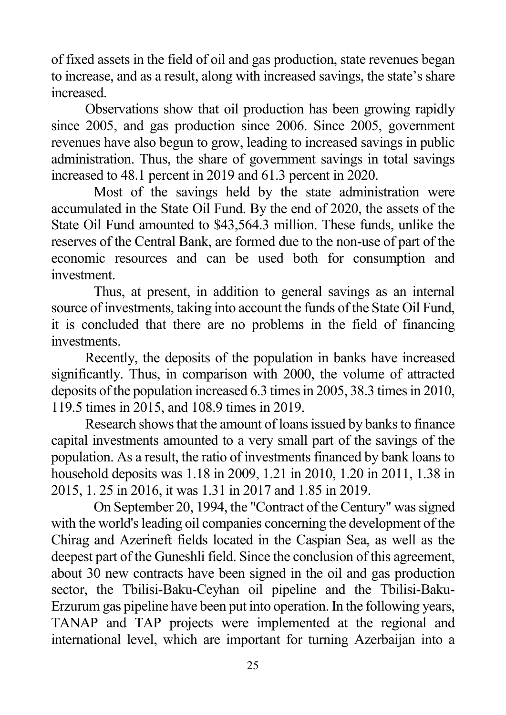of fixed assets in the field of oil and gas production, state revenues began to increase, and as a result, along with increased savings, the state's share increased.

Observations show that oil production has been growing rapidly since 2005, and gas production since 2006. Since 2005, government revenues have also begun to grow, leading to increased savings in public administration. Thus, the share of government savings in total savings increased to 48.1 percent in 2019 and 61.3 percent in 2020.

Most of the savings held by the state administration were accumulated in the State Oil Fund. By the end of 2020, the assets of the State Oil Fund amounted to \$43,564.3 million. These funds, unlike the reserves of the Central Bank, are formed due to the non-use of part of the economic resources and can be used both for consumption and investment.

Thus, at present, in addition to general savings as an internal source of investments, taking into account the funds of the State Oil Fund, it is concluded that there are no problems in the field of financing investments.

Recently, the deposits of the population in banks have increased significantly. Thus, in comparison with 2000, the volume of attracted deposits of the population increased 6.3 times in 2005, 38.3 times in 2010, 119.5 times in 2015, and 108.9 times in 2019.

Research shows that the amount of loans issued by banks to finance capital investments amounted to a very small part of the savings of the population. As a result, the ratio of investments financed by bank loans to household deposits was 1.18 in 2009, 1.21 in 2010, 1.20 in 2011, 1.38 in 2015, 1. 25 in 2016, it was 1.31 in 2017 and 1.85 in 2019.

On September 20, 1994, the "Contract of the Century" was signed with the world's leading oil companies concerning the development of the Chirag and Azerineft fields located in the Caspian Sea, as well as the deepest part of the Guneshli field. Since the conclusion of this agreement, about 30 new contracts have been signed in the oil and gas production sector, the Tbilisi-Baku-Ceyhan oil pipeline and the Tbilisi-Baku-Erzurum gas pipeline have been put into operation. In the following years, TANAP and TAP projects were implemented at the regional and international level, which are important for turning Azerbaijan into a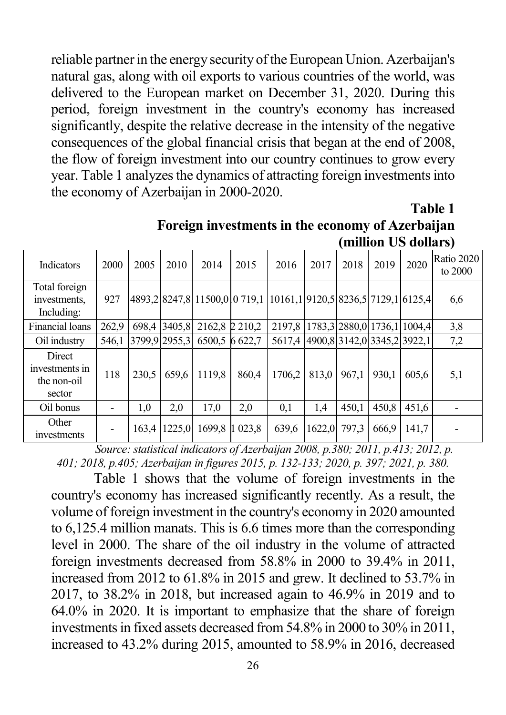reliable partner in the energy security of the European Union. Azerbaijan's natural gas, along with oil exports to various countries of the world, was delivered to the European market on December 31, 2020. During this period, foreign investment in the country's economy has increased significantly, despite the relative decrease in the intensity of the negative consequences of the global financial crisis that began at the end of 2008, the flow of foreign investment into our country continues to grow every year. Table 1 analyzes the dynamics of attracting foreign investments into the economy of Azerbaijan in 2000-2020.

**Table 1 Foreign investments in the economy of Azerbaijan (million US dollars)**

|                                                   |       |       |               |                                                                   |                      |                                    |        |                             |       | $mmon \, \mathcal{C} \, \mathcal{C}$ womans |                         |
|---------------------------------------------------|-------|-------|---------------|-------------------------------------------------------------------|----------------------|------------------------------------|--------|-----------------------------|-------|---------------------------------------------|-------------------------|
| <b>Indicators</b>                                 | 2000  | 2005  | 2010          | 2014                                                              | 2015                 | 2016                               | 2017   | 2018                        | 2019  | 2020                                        | Ratio 2020<br>to $2000$ |
| Total foreign<br>investments,<br>Including:       | 927   |       |               | 4893,2 8247,8 11500,0 0 719,1 10161,1 9120,5 8236,5 7129,1 6125,4 |                      |                                    |        |                             |       |                                             | 6,6                     |
| Financial loans                                   | 262.9 | 698.4 | 3405.8        | 2162.8 2 210.2                                                    |                      | 2197.8                             |        | 1783.3 2880.0 1736.1 1004.4 |       |                                             | 3,8                     |
| Oil industry                                      | 546.1 |       | 3799,9 2955,3 | 6500.5 6 622.7                                                    |                      | 5617,4 4900,8 3142,0 3345,2 3922,1 |        |                             |       |                                             | 7,2                     |
| Direct<br>investments in<br>the non-oil<br>sector | 118   | 230,5 | 659,6         | 1119,8                                                            | 860,4                | 1706,2                             | 813,0  | 967,1                       | 930,1 | 605,6                                       | 5,1                     |
| Oil bonus                                         |       | 1,0   | 2,0           | 17,0                                                              | 2,0                  | 0,1                                | 1,4    | 450,1                       | 450,8 | 451,6                                       |                         |
| Other<br>investments                              |       | 163.4 | 1225.0        | 1699.8                                                            | 023.8<br>$\mathbf 1$ | 639,6                              | 1622.0 | 797.3                       | 666.9 | 141.7                                       |                         |

*Source: statistical indicators of Azerbaijan 2008, p.380; 2011, p.413; 2012, p. 401; 2018, p.405; Azerbaijan in figures 2015, p. 132-133; 2020, p. 397; 2021, p. 380.*

Table 1 shows that the volume of foreign investments in the country's economy has increased significantly recently. As a result, the volume of foreign investment in the country's economy in 2020 amounted to 6,125.4 million manats. This is 6.6 times more than the corresponding level in 2000. The share of the oil industry in the volume of attracted foreign investments decreased from 58.8% in 2000 to 39.4% in 2011, increased from 2012 to 61.8% in 2015 and grew. It declined to 53.7% in 2017, to 38.2% in 2018, but increased again to 46.9% in 2019 and to 64.0% in 2020. It is important to emphasize that the share of foreign investments in fixed assets decreased from 54.8% in 2000 to 30% in 2011, increased to 43.2% during 2015, amounted to 58.9% in 2016, decreased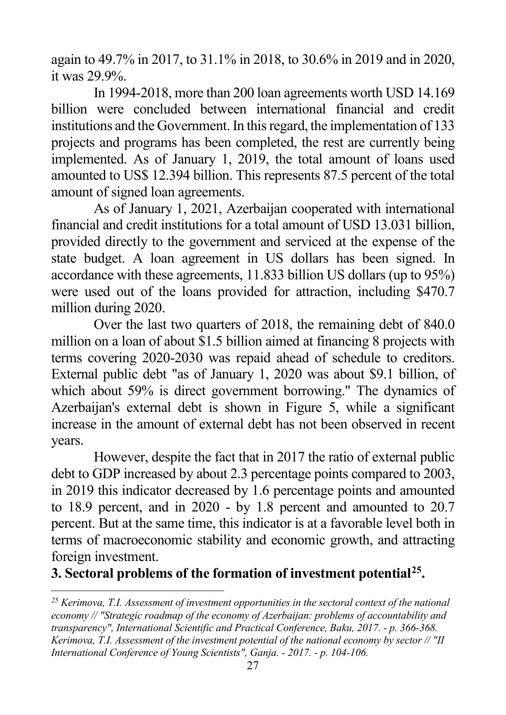<span id="page-26-0"></span>again to 49.7% in 2017, to 31.1% in 2018, to 30.6% in 2019 and in 2020, it was 29.9%.

In 1994-2018, more than 200 loan agreements worth USD 14.169 billion were concluded between international financial and credit institutions and the Government. In this regard, the implementation of 133 projects and programs has been completed, the rest are currently being implemented. As of January 1, 2019, the total amount of loans used amounted to US\$ 12.394 billion. This represents 87.5 percent of the total amount of signed loan agreements.

As of January 1, 2021, Azerbaijan cooperated with international financial and credit institutions for a total amount of USD 13.031 billion, provided directly to the government and serviced at the expense of the state budget. A loan agreement in US dollars has been signed. In accordance with these agreements, 11.833 billion US dollars (up to 95%) were used out of the loans provided for attraction, including \$470.7 million during 2020.

Over the last two quarters of 2018, the remaining debt of 840.0 million on a loan of about \$1.5 billion aimed at financing 8 projects with terms covering 2020-2030 was repaid ahead of schedule to creditors. External public debt "as of January 1, 2020 was about \$9.1 billion, of which about 59% is direct government borrowing." The dynamics of Azerbaijan's external debt is shown in Figure 5, while a significant increase in the amount of external debt has not been observed in recent years.

However, despite the fact that in 2017 the ratio of external public debt to GDP increased by about 2.3 percentage points compared to 2003, in 2019 this indicator decreased by 1.6 percentage points and amounted to 18.9 percent, and in 2020 - by 1.8 percent and amounted to 20.7 percent. But at the same time, this indicator is at a favorable level both in terms of macroeconomic stability and economic growth, and attracting foreign investment.

**3. Sectoral problems of the formation of investment potential[25.](#page-26-0)**

*<sup>25</sup> Kerimova, T.I. Assessment of investment opportunities in the sectoral context of the national economy // "Strategic roadmap of the economy of Azerbaijan: problems of accountability and transparency", International Scientific and Practical Conference, Baku, 2017. - p. 366-368. Kerimova, T.I. Assessment of the investment potential of the national economy by sector // "II International Conference of Young Scientists", Ganja. - 2017. - p. 104-106.*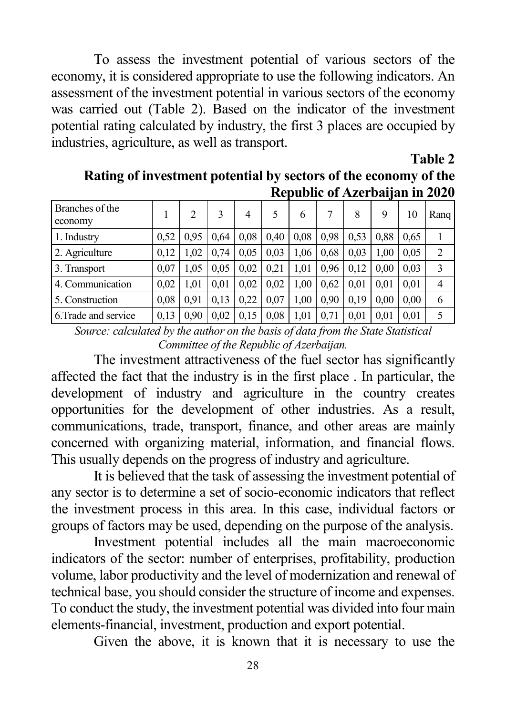To assess the investment potential of various sectors of the economy, it is considered appropriate to use the following indicators. An assessment of the investment potential in various sectors of the economy was carried out (Table 2). Based on the indicator of the investment potential rating calculated by industry, the first 3 places are occupied by industries, agriculture, as well as transport.

#### **Table 2**

**Rating of investment potential by sectors of the economy of the Republic of Azerbaijan in 2020**

|                            |      |      |      |      |      |      |      | $1.66 \mu$ and $0.1 \mu$ and $0.01 \mu$ and $1.00 \mu$ |      |      |      |
|----------------------------|------|------|------|------|------|------|------|--------------------------------------------------------|------|------|------|
| Branches of the<br>economy |      | 2    | 3    | 4    |      | 6    |      | 8                                                      | 9    | 10   | Rang |
| 1. Industry                | 0.52 | 0.95 | 0.64 | 0.08 | 0.40 | 0.08 | 0.98 | 0.53                                                   | 0.88 | 0.65 |      |
| 2. Agriculture             | 0.12 | 1.02 | 0.74 | 0.05 | 0.03 | 1,06 | 0.68 | 0.03                                                   | 1.00 | 0.05 | 2    |
| 3. Transport               | 0.07 | 1.05 | 0.05 | 0.02 | 0.21 | 1.01 | 0.96 | 0.12                                                   | 0.00 | 0.03 | 3    |
| 4. Communication           | 0.02 | 1.01 | 0,01 | 0,02 | 0,02 | 1,00 | 0.62 | 0.01                                                   | 0.01 | 0.01 | 4    |
| 5. Construction            | 0.08 | 0.91 | 0,13 | 0.22 | 0.07 | 1.00 | 0.90 | 0.19                                                   | 0.00 | 0.00 | 6    |
| 6. Trade and service       | 0.13 | 0.90 | 0.02 | 0,15 | 0.08 | 1,01 | 0.71 | 0.01                                                   | 0.01 | 0.01 | 5    |

*Source: calculated by the author on the basis of data from the State Statistical Committee of the Republic of Azerbaijan.*

The investment attractiveness of the fuel sector has significantly affected the fact that the industry is in the first place . In particular, the development of industry and agriculture in the country creates opportunities for the development of other industries. As a result, communications, trade, transport, finance, and other areas are mainly concerned with organizing material, information, and financial flows. This usually depends on the progress of industry and agriculture.

It is believed that the task of assessing the investment potential of any sector is to determine a set of socio-economic indicators that reflect the investment process in this area. In this case, individual factors or groups of factors may be used, depending on the purpose of the analysis.

Investment potential includes all the main macroeconomic indicators of the sector: number of enterprises, profitability, production volume, labor productivity and the level of modernization and renewal of technical base, you should consider the structure of income and expenses. To conduct the study, the investment potential was divided into four main elements-financial, investment, production and export potential.

Given the above, it is known that it is necessary to use the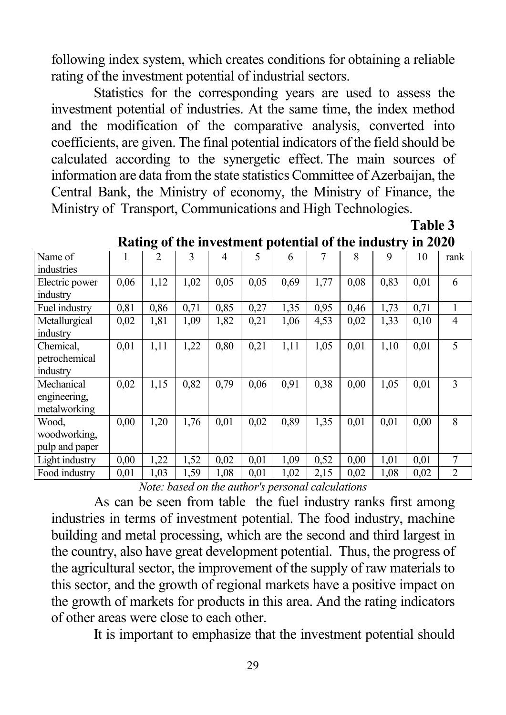following index system, which creates conditions for obtaining a reliable rating of the investment potential of industrial sectors.

Statistics for the corresponding years are used to assess the investment potential of industries. At the same time, the index method and the modification of the comparative analysis, converted into coefficients, are given. The final potential indicators of the field should be calculated according to the synergetic effect. The main sources of information are data from the state statistics Committee of Azerbaijan, the Central Bank, the Ministry of economy, the Ministry of Finance, the Ministry of Transport, Communications and High Technologies.

**Table 3**

|                |      | o              |      |      |      |      |      |      |      |      |                |
|----------------|------|----------------|------|------|------|------|------|------|------|------|----------------|
| Name of        |      | $\mathfrak{D}$ | 3    | 4    | 5    | 6    | 7    | 8    | 9    | 10   | rank           |
| industries     |      |                |      |      |      |      |      |      |      |      |                |
| Electric power | 0,06 | 1,12           | 1,02 | 0,05 | 0,05 | 0,69 | 1,77 | 0.08 | 0,83 | 0,01 | 6              |
| industry       |      |                |      |      |      |      |      |      |      |      |                |
| Fuel industry  | 0,81 | 0,86           | 0,71 | 0,85 | 0,27 | 1,35 | 0.95 | 0,46 | 1,73 | 0,71 |                |
| Metallurgical  | 0,02 | 1,81           | 1,09 | 1,82 | 0,21 | 1,06 | 4,53 | 0,02 | 1,33 | 0,10 | $\overline{4}$ |
| industry       |      |                |      |      |      |      |      |      |      |      |                |
| Chemical,      | 0,01 | 1,11           | 1,22 | 0,80 | 0,21 | 1,11 | 1,05 | 0,01 | 1,10 | 0,01 | 5              |
| petrochemical  |      |                |      |      |      |      |      |      |      |      |                |
| industry       |      |                |      |      |      |      |      |      |      |      |                |
| Mechanical     | 0,02 | 1,15           | 0,82 | 0,79 | 0,06 | 0,91 | 0.38 | 0,00 | 1,05 | 0,01 | 3              |
| engineering,   |      |                |      |      |      |      |      |      |      |      |                |
| metalworking   |      |                |      |      |      |      |      |      |      |      |                |
| Wood.          | 0.00 | 1,20           | 1,76 | 0,01 | 0,02 | 0,89 | 1,35 | 0,01 | 0,01 | 0,00 | 8              |
| woodworking.   |      |                |      |      |      |      |      |      |      |      |                |
| pulp and paper |      |                |      |      |      |      |      |      |      |      |                |
| Light industry | 0,00 | 1,22           | 1,52 | 0,02 | 0,01 | 1,09 | 0,52 | 0,00 | 1,01 | 0,01 | 7              |
| Food industry  | 0,01 | 1,03           | 1,59 | 1,08 | 0,01 | 1,02 | 2,15 | 0,02 | 1,08 | 0,02 | $\overline{2}$ |

**Rating of the investment potential of the industry in 2020**

*Note: based on the author's personal calculations*

As can be seen from table the fuel industry ranks first among industries in terms of investment potential. The food industry, machine building and metal processing, which are the second and third largest in the country, also have great development potential. Thus, the progress of the agricultural sector, the improvement of the supply of raw materials to this sector, and the growth of regional markets have a positive impact on the growth of markets for products in this area. And the rating indicators of other areas were close to each other.

It is important to emphasize that the investment potential should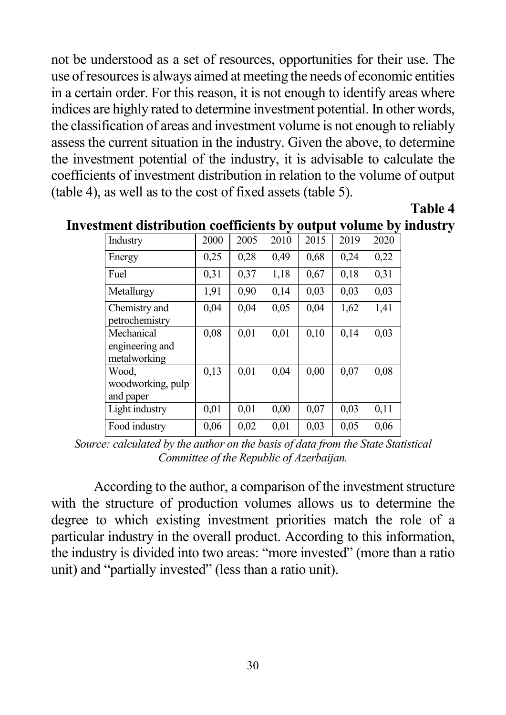not be understood as a set of resources, opportunities for their use. The use of resources is always aimed at meeting the needs of economic entities in a certain order. For this reason, it is not enough to identify areas where indices are highly rated to determine investment potential. In other words, the classification of areas and investment volume is not enough to reliably assess the current situation in the industry. Given the above, to determine the investment potential of the industry, it is advisable to calculate the coefficients of investment distribution in relation to the volume of output (table 4), as well as to the cost of fixed assets (table 5).

**Table 4**

| Industry                                      | 2000 | 2005 | 2010 | 2015 | 2019 | 2020 |
|-----------------------------------------------|------|------|------|------|------|------|
| Energy                                        | 0,25 | 0,28 | 0,49 | 0,68 | 0,24 | 0,22 |
| Fuel                                          | 0.31 | 0,37 | 1,18 | 0,67 | 0,18 | 0,31 |
| Metallurgy                                    | 1,91 | 0,90 | 0.14 | 0.03 | 0.03 | 0.03 |
| Chemistry and<br>petrochemistry               | 0,04 | 0,04 | 0.05 | 0,04 | 1,62 | 1,41 |
| Mechanical<br>engineering and<br>metalworking | 0,08 | 0,01 | 0,01 | 0.10 | 0,14 | 0.03 |
| Wood.<br>woodworking, pulp<br>and paper       | 0,13 | 0.01 | 0,04 | 0.00 | 0,07 | 0.08 |
| Light industry                                | 0,01 | 0,01 | 0,00 | 0,07 | 0.03 | 0,11 |
| Food industry                                 | 0.06 | 0,02 | 0.01 | 0.03 | 0.05 | 0,06 |

**Investment distribution coefficients by output volume by industry** 

*Source: calculated by the author on the basis of data from the State Statistical Committee of the Republic of Azerbaijan.*

According to the author, a comparison of the investment structure with the structure of production volumes allows us to determine the degree to which existing investment priorities match the role of a particular industry in the overall product. According to this information, the industry is divided into two areas: "more invested" (more than a ratio unit) and "partially invested" (less than a ratio unit).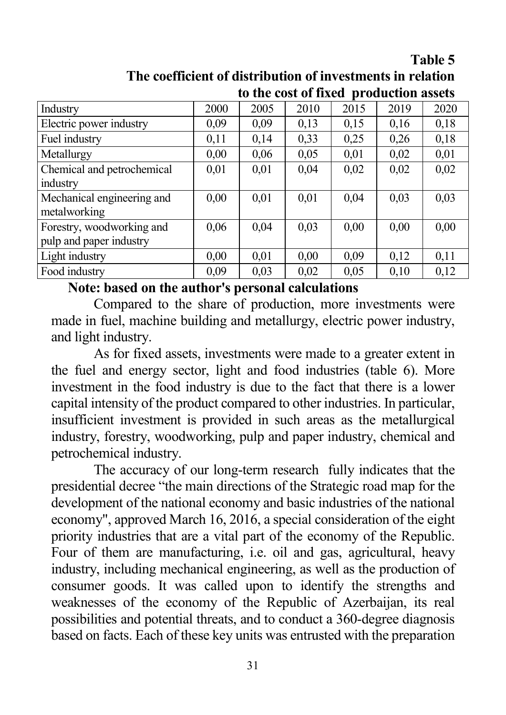**Table 5**

| The coefficient of distribution of investments in relation |  |
|------------------------------------------------------------|--|
| to the cost of fixed production assets                     |  |

|                            |      | to the cost of macu |      |      | рт омисион изэссэ |      |
|----------------------------|------|---------------------|------|------|-------------------|------|
| Industry                   | 2000 | 2005                | 2010 | 2015 | 2019              | 2020 |
| Electric power industry    | 0,09 | 0,09                | 0,13 | 0,15 | 0,16              | 0,18 |
| Fuel industry              | 0,11 | 0,14                | 0,33 | 0,25 | 0,26              | 0,18 |
| Metallurgy                 | 0,00 | 0,06                | 0,05 | 0,01 | 0,02              | 0,01 |
| Chemical and petrochemical | 0,01 | 0,01                | 0,04 | 0,02 | 0,02              | 0,02 |
| industry                   |      |                     |      |      |                   |      |
| Mechanical engineering and | 0,00 | 0,01                | 0,01 | 0,04 | 0,03              | 0,03 |
| metalworking               |      |                     |      |      |                   |      |
| Forestry, woodworking and  | 0,06 | 0,04                | 0,03 | 0,00 | 0,00              | 0,00 |
| pulp and paper industry    |      |                     |      |      |                   |      |
| Light industry             | 0,00 | 0,01                | 0,00 | 0.09 | 0,12              | 0,11 |
| Food industry              | 0,09 | 0,03                | 0,02 | 0,05 | 0,10              | 0.12 |

#### **Note: based on the author's personal calculations**

Compared to the share of production, more investments were made in fuel, machine building and metallurgy, electric power industry, and light industry.

As for fixed assets, investments were made to a greater extent in the fuel and energy sector, light and food industries (table 6). More investment in the food industry is due to the fact that there is a lower capital intensity of the product compared to other industries. In particular, insufficient investment is provided in such areas as the metallurgical industry, forestry, woodworking, pulp and paper industry, chemical and petrochemical industry.

The accuracy of our long-term research fully indicates that the presidential decree "the main directions of the Strategic road map for the development of the national economy and basic industries of the national economy", approved March 16, 2016, a special consideration of the eight priority industries that are a vital part of the economy of the Republic. Four of them are manufacturing, i.e. oil and gas, agricultural, heavy industry, including mechanical engineering, as well as the production of consumer goods. It was called upon to identify the strengths and weaknesses of the economy of the Republic of Azerbaijan, its real possibilities and potential threats, and to conduct a 360-degree diagnosis based on facts. Each of these key units was entrusted with the preparation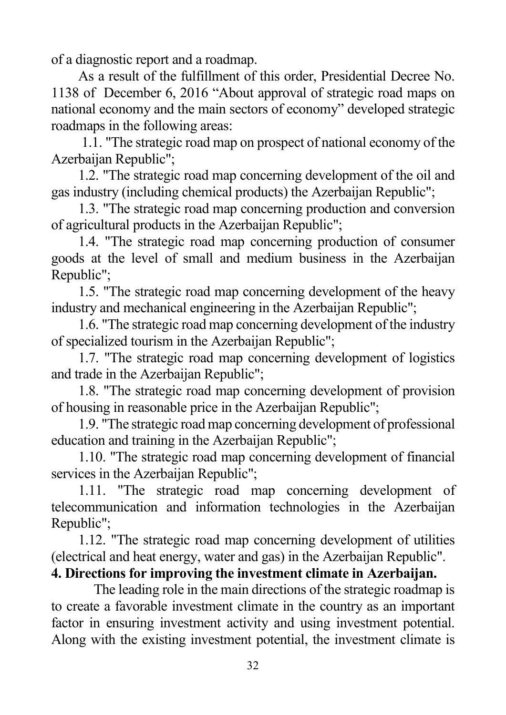of a diagnostic report and a roadmap.

As a result of the fulfillment of this order, Presidential Decree No. 1138 of December 6, 2016 "About approval of strategic road maps on national economy and the main sectors of economy" developed strategic roadmaps in the following areas:

1.1. "The strategic road map on prospect of national economy of the Azerbaijan Republic";

1.2. "The strategic road map concerning development of the oil and gas industry (including chemical products) the Azerbaijan Republic";

1.3. "The strategic road map concerning production and conversion of agricultural products in the Azerbaijan Republic";

1.4. "The strategic road map concerning production of consumer goods at the level of small and medium business in the Azerbaijan Republic";

1.5. "The strategic road map concerning development of the heavy industry and mechanical engineering in the Azerbaijan Republic";

1.6. "The strategic road map concerning development of the industry of specialized tourism in the Azerbaijan Republic";

1.7. "The strategic road map concerning development of logistics and trade in the Azerbaijan Republic";

1.8. "The strategic road map concerning development of provision of housing in reasonable price in the Azerbaijan Republic";

1.9. "The strategic road map concerning development of professional education and training in the Azerbaijan Republic";

1.10. "The strategic road map concerning development of financial services in the Azerbaijan Republic";

1.11. "The strategic road map concerning development of telecommunication and information technologies in the Azerbaijan Republic";

1.12. "The strategic road map concerning development of utilities (electrical and heat energy, water and gas) in the Azerbaijan Republic".

## **4. Directions for improving the investment climate in Azerbaijan.**

The leading role in the main directions of the strategic roadmap is to create a favorable investment climate in the country as an important factor in ensuring investment activity and using investment potential. Along with the existing investment potential, the investment climate is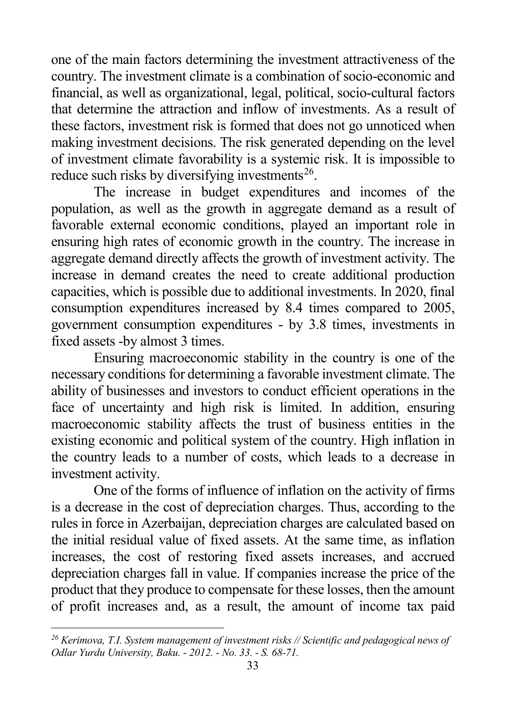<span id="page-32-0"></span>one of the main factors determining the investment attractiveness of the country. The investment climate is a combination of socio-economic and financial, as well as organizational, legal, political, socio-cultural factors that determine the attraction and inflow of investments. As a result of these factors, investment risk is formed that does not go unnoticed when making investment decisions. The risk generated depending on the level of investment climate favorability is a systemic risk. It is impossible to reduce such risks by diversifying investments<sup>[26](#page-32-0)</sup>.

The increase in budget expenditures and incomes of the population, as well as the growth in aggregate demand as a result of favorable external economic conditions, played an important role in ensuring high rates of economic growth in the country. The increase in aggregate demand directly affects the growth of investment activity. The increase in demand creates the need to create additional production capacities, which is possible due to additional investments. In 2020, final consumption expenditures increased by 8.4 times compared to 2005, government consumption expenditures - by 3.8 times, investments in fixed assets -by almost 3 times.

Ensuring macroeconomic stability in the country is one of the necessary conditions for determining a favorable investment climate. The ability of businesses and investors to conduct efficient operations in the face of uncertainty and high risk is limited. In addition, ensuring macroeconomic stability affects the trust of business entities in the existing economic and political system of the country. High inflation in the country leads to a number of costs, which leads to a decrease in investment activity.

One of the forms of influence of inflation on the activity of firms is a decrease in the cost of depreciation charges. Thus, according to the rules in force in Azerbaijan, depreciation charges are calculated based on the initial residual value of fixed assets. At the same time, as inflation increases, the cost of restoring fixed assets increases, and accrued depreciation charges fall in value. If companies increase the price of the product that they produce to compensate for these losses, then the amount of profit increases and, as a result, the amount of income tax paid

*<sup>26</sup> Kerimova, T.I. System management of investment risks // Scientific and pedagogical news of Odlar Yurdu University, Baku. - 2012. - No. 33. - S. 68-71.*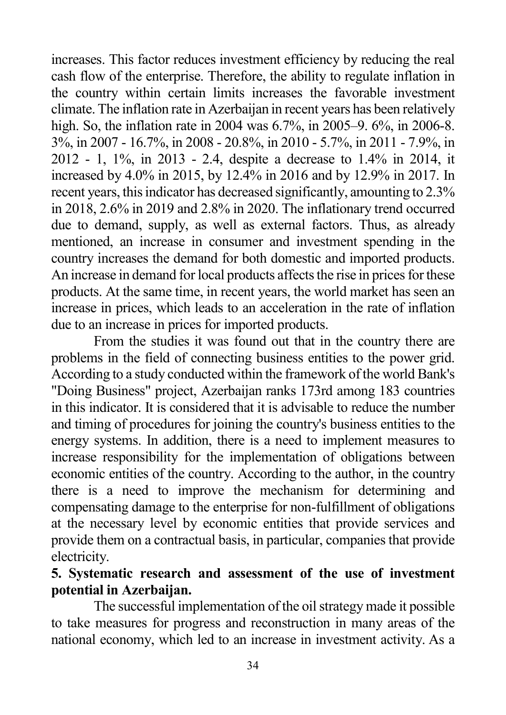increases. This factor reduces investment efficiency by reducing the real cash flow of the enterprise. Therefore, the ability to regulate inflation in the country within certain limits increases the favorable investment climate. The inflation rate in Azerbaijan in recent years has been relatively high. So, the inflation rate in 2004 was 6.7%, in 2005–9. 6%, in 2006-8. 3%, in 2007 - 16.7%, in 2008 - 20.8%, in 2010 - 5.7%, in 2011 - 7.9%, in 2012 - 1, 1%, in 2013 - 2.4, despite a decrease to 1.4% in 2014, it increased by 4.0% in 2015, by 12.4% in 2016 and by 12.9% in 2017. In recent years, this indicator has decreased significantly, amounting to 2.3% in 2018, 2.6% in 2019 and 2.8% in 2020. The inflationary trend occurred due to demand, supply, as well as external factors. Thus, as already mentioned, an increase in consumer and investment spending in the country increases the demand for both domestic and imported products. An increase in demand for local products affects the rise in prices for these products. At the same time, in recent years, the world market has seen an increase in prices, which leads to an acceleration in the rate of inflation due to an increase in prices for imported products.

From the studies it was found out that in the country there are problems in the field of connecting business entities to the power grid. According to a study conducted within the framework of the world Bank's "Doing Business" project, Azerbaijan ranks 173rd among 183 countries in this indicator. It is considered that it is advisable to reduce the number and timing of procedures for joining the country's business entities to the energy systems. In addition, there is a need to implement measures to increase responsibility for the implementation of obligations between economic entities of the country. According to the author, in the country there is a need to improve the mechanism for determining and compensating damage to the enterprise for non-fulfillment of obligations at the necessary level by economic entities that provide services and provide them on a contractual basis, in particular, companies that provide electricity.

### **5. Systematic research and assessment of the use of investment potential in Azerbaijan.**

The successful implementation of the oil strategy made it possible to take measures for progress and reconstruction in many areas of the national economy, which led to an increase in investment activity. As a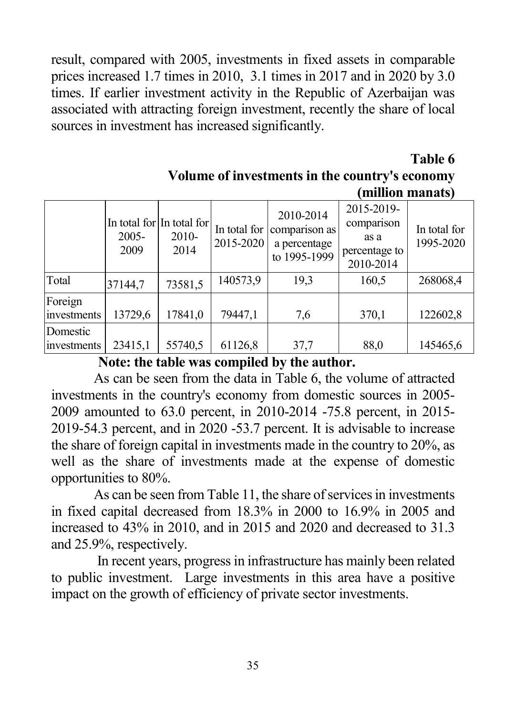result, compared with 2005, investments in fixed assets in comparable prices increased 1.7 times in 2010, 3.1 times in 2017 and in 2020 by 3.0 times. If earlier investment activity in the Republic of Azerbaijan was associated with attracting foreign investment, recently the share of local sources in investment has increased significantly.

> **Table 6 Volume of investments in the country's economy (million manats)**

|                         | 2005-<br>2009 | In total for In total for<br>2010-<br>2014 | In total for<br>2015-2020 | 2010-2014<br>comparison as<br>a percentage<br>to 1995-1999 | 2015-2019-<br>comparison<br>as a<br>percentage to<br>2010-2014 | In total for<br>1995-2020 |
|-------------------------|---------------|--------------------------------------------|---------------------------|------------------------------------------------------------|----------------------------------------------------------------|---------------------------|
| Total                   | 37144,7       | 73581,5                                    | 140573,9                  | 19,3                                                       | 160,5                                                          | 268068,4                  |
| Foreign<br>investments  | 13729,6       | 17841,0                                    | 79447,1                   | 7,6                                                        | 370,1                                                          | 122602,8                  |
| Domestic<br>investments | 23415,1       | 55740,5                                    | 61126,8                   | 37,7                                                       | 88,0                                                           | 145465,6                  |

 **Note: the table was compiled by the author.**

As can be seen from the data in Table 6, the volume of attracted investments in the country's economy from domestic sources in 2005- 2009 amounted to 63.0 percent, in 2010-2014 -75.8 percent, in 2015- 2019-54.3 percent, and in 2020 -53.7 percent. It is advisable to increase the share of foreign capital in investments made in the country to 20%, as well as the share of investments made at the expense of domestic opportunities to 80%.

As can be seen from Table 11, the share of services in investments in fixed capital decreased from 18.3% in 2000 to 16.9% in 2005 and increased to 43% in 2010, and in 2015 and 2020 and decreased to 31.3 and 25.9%, respectively.

In recent years, progress in infrastructure has mainly been related to public investment. Large investments in this area have a positive impact on the growth of efficiency of private sector investments.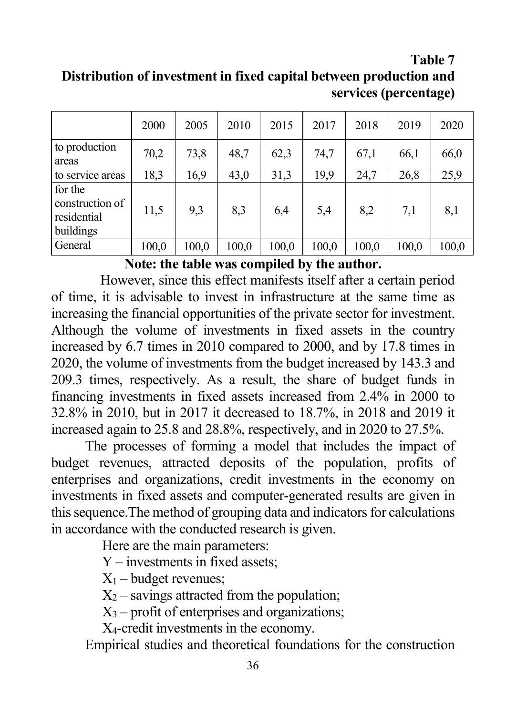#### **Table 7 Distribution of investment in fixed capital between production and services (percentage)**

|                                                        | 2000  | 2005  | 2010  | 2015  | 2017  | 2018  | 2019  | 2020  |
|--------------------------------------------------------|-------|-------|-------|-------|-------|-------|-------|-------|
| to production<br>areas                                 | 70,2  | 73,8  | 48,7  | 62,3  | 74,7  | 67,1  | 66,1  | 66,0  |
| to service areas                                       | 18,3  | 16,9  | 43,0  | 31,3  | 19,9  | 24,7  | 26,8  | 25,9  |
| for the<br>construction of<br>residential<br>buildings | 11,5  | 9,3   | 8,3   | 6,4   | 5,4   | 8,2   | 7,1   | 8,1   |
| General                                                | 100,0 | 100,0 | 100,0 | 100,0 | 100,0 | 100,0 | 100,0 | 100,0 |

**Note: the table was compiled by the author.**

However, since this effect manifests itself after a certain period of time, it is advisable to invest in infrastructure at the same time as increasing the financial opportunities of the private sector for investment. Although the volume of investments in fixed assets in the country increased by 6.7 times in 2010 compared to 2000, and by 17.8 times in 2020, the volume of investments from the budget increased by 143.3 and 209.3 times, respectively. As a result, the share of budget funds in financing investments in fixed assets increased from 2.4% in 2000 to 32.8% in 2010, but in 2017 it decreased to 18.7%, in 2018 and 2019 it increased again to 25.8 and 28.8%, respectively, and in 2020 to 27.5%.

The processes of forming a model that includes the impact of budget revenues, attracted deposits of the population, profits of enterprises and organizations, credit investments in the economy on investments in fixed assets and computer-generated results are given in this sequence.The method of grouping data and indicators for calculations in accordance with the conducted research is given.

Here are the main parameters:

Y – investments in fixed assets;

 $X_1$  – budget revenues;

 $X_2$  – savings attracted from the population;

 $X_3$  – profit of enterprises and organizations;

X4-credit investments in the economy.

Empirical studies and theoretical foundations for the construction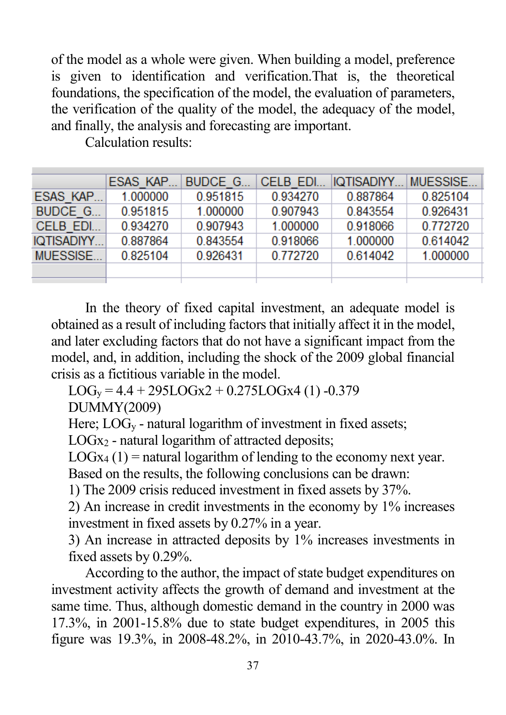of the model as a whole were given. When building a model, preference is given to identification and verification.That is, the theoretical foundations, the specification of the model, the evaluation of parameters, the verification of the quality of the model, the adequacy of the model, and finally, the analysis and forecasting are important.

|            | ESAS KAP | BUDCE G  | CELB EDI. | IQTISADIYY | <b>MUESSISE</b> |
|------------|----------|----------|-----------|------------|-----------------|
| ESAS KAP   | 1.000000 | 0.951815 | 0.934270  | 0.887864   | 0.825104        |
| BUDCE G    | 0.951815 | 1.000000 | 0.907943  | 0.843554   | 0.926431        |
| CELB EDI   | 0.934270 | 0.907943 | 1.000000  | 0.918066   | 0.772720        |
| IQTISADIYY | 0.887864 | 0.843554 | 0.918066  | 1.000000   | 0.614042        |
| MUESSISE   | 0.825104 | 0.926431 | 0.772720  | 0.614042   | 1.000000        |
|            |          |          |           |            |                 |
|            |          |          |           |            |                 |

Calculation results:

In the theory of fixed capital investment, an adequate model is obtained as a result of including factors that initially affect it in the model, and later excluding factors that do not have a significant impact from the model, and, in addition, including the shock of the 2009 global financial crisis as a fictitious variable in the model.

 $LOG_v = 4.4 + 295LOGx2 + 0.275LOGx4 (1) -0.379$ 

DUMMY(2009)

Here;  $LOG_v$  - natural logarithm of investment in fixed assets;

 $LOGx<sub>2</sub>$  - natural logarithm of attracted deposits;

 $LOGx_4(1)$  = natural logarithm of lending to the economy next year.

Based on the results, the following conclusions can be drawn:

1) The 2009 crisis reduced investment in fixed assets by 37%.

2) An increase in credit investments in the economy by 1% increases investment in fixed assets by 0.27% in a year.

3) An increase in attracted deposits by 1% increases investments in fixed assets by 0.29%.

According to the author, the impact of state budget expenditures on investment activity affects the growth of demand and investment at the same time. Thus, although domestic demand in the country in 2000 was 17.3%, in 2001-15.8% due to state budget expenditures, in 2005 this figure was 19.3%, in 2008-48.2%, in 2010-43.7%, in 2020-43.0%. In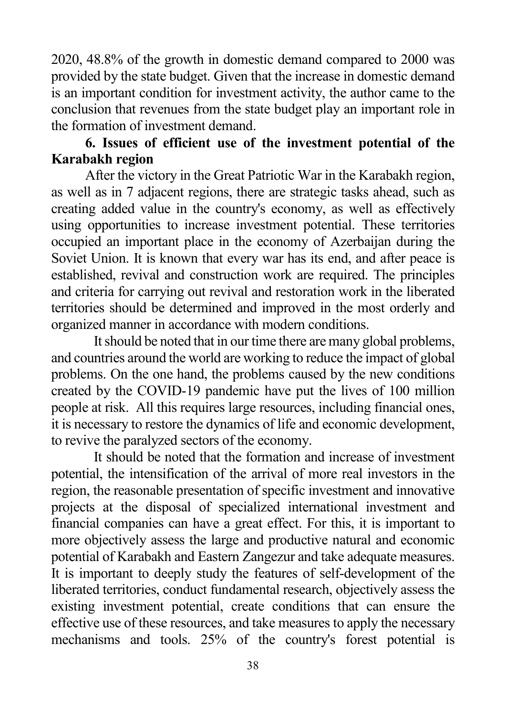2020, 48.8% of the growth in domestic demand compared to 2000 was provided by the state budget. Given that the increase in domestic demand is an important condition for investment activity, the author came to the conclusion that revenues from the state budget play an important role in the formation of investment demand.

### **6. Issues of efficient use of the investment potential of the Karabakh region**

After the victory in the Great Patriotic War in the Karabakh region, as well as in 7 adjacent regions, there are strategic tasks ahead, such as creating added value in the country's economy, as well as effectively using opportunities to increase investment potential. These territories occupied an important place in the economy of Azerbaijan during the Soviet Union. It is known that every war has its end, and after peace is established, revival and construction work are required. The principles and criteria for carrying out revival and restoration work in the liberated territories should be determined and improved in the most orderly and organized manner in accordance with modern conditions.

It should be noted that in our time there are many global problems, and countries around the world are working to reduce the impact of global problems. On the one hand, the problems caused by the new conditions created by the COVID-19 pandemic have put the lives of 100 million people at risk. All this requires large resources, including financial ones, it is necessary to restore the dynamics of life and economic development, to revive the paralyzed sectors of the economy.

It should be noted that the formation and increase of investment potential, the intensification of the arrival of more real investors in the region, the reasonable presentation of specific investment and innovative projects at the disposal of specialized international investment and financial companies can have a great effect. For this, it is important to more objectively assess the large and productive natural and economic potential of Karabakh and Eastern Zangezur and take adequate measures. It is important to deeply study the features of self-development of the liberated territories, conduct fundamental research, objectively assess the existing investment potential, create conditions that can ensure the effective use of these resources, and take measures to apply the necessary mechanisms and tools. 25% of the country's forest potential is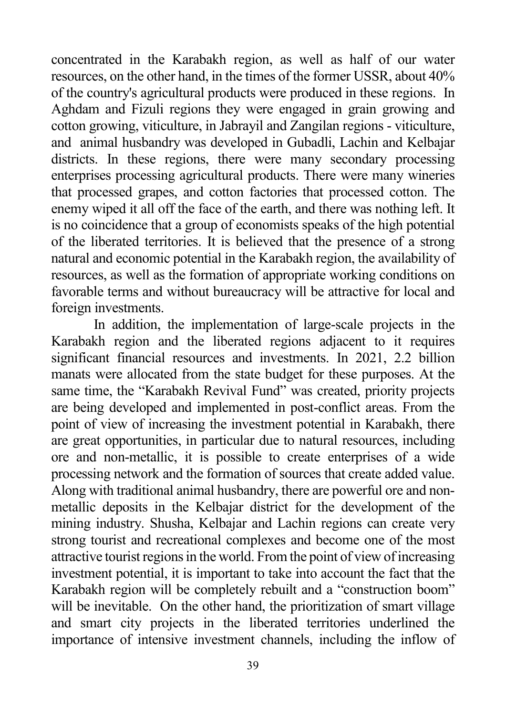concentrated in the Karabakh region, as well as half of our water resources, on the other hand, in the times of the former USSR, about 40% of the country's agricultural products were produced in these regions. In Aghdam and Fizuli regions they were engaged in grain growing and cotton growing, viticulture, in Jabrayil and Zangilan regions - viticulture, and animal husbandry was developed in Gubadli, Lachin and Kelbajar districts. In these regions, there were many secondary processing enterprises processing agricultural products. There were many wineries that processed grapes, and cotton factories that processed cotton. The enemy wiped it all off the face of the earth, and there was nothing left. It is no coincidence that a group of economists speaks of the high potential of the liberated territories. It is believed that the presence of a strong natural and economic potential in the Karabakh region, the availability of resources, as well as the formation of appropriate working conditions on favorable terms and without bureaucracy will be attractive for local and foreign investments.

In addition, the implementation of large-scale projects in the Karabakh region and the liberated regions adjacent to it requires significant financial resources and investments. In 2021, 2.2 billion manats were allocated from the state budget for these purposes. At the same time, the "Karabakh Revival Fund" was created, priority projects are being developed and implemented in post-conflict areas. From the point of view of increasing the investment potential in Karabakh, there are great opportunities, in particular due to natural resources, including ore and non-metallic, it is possible to create enterprises of a wide processing network and the formation of sources that create added value. Along with traditional animal husbandry, there are powerful ore and nonmetallic deposits in the Kelbajar district for the development of the mining industry. Shusha, Kelbajar and Lachin regions can create very strong tourist and recreational complexes and become one of the most attractive tourist regions in the world. From the point of view of increasing investment potential, it is important to take into account the fact that the Karabakh region will be completely rebuilt and a "construction boom" will be inevitable. On the other hand, the prioritization of smart village and smart city projects in the liberated territories underlined the importance of intensive investment channels, including the inflow of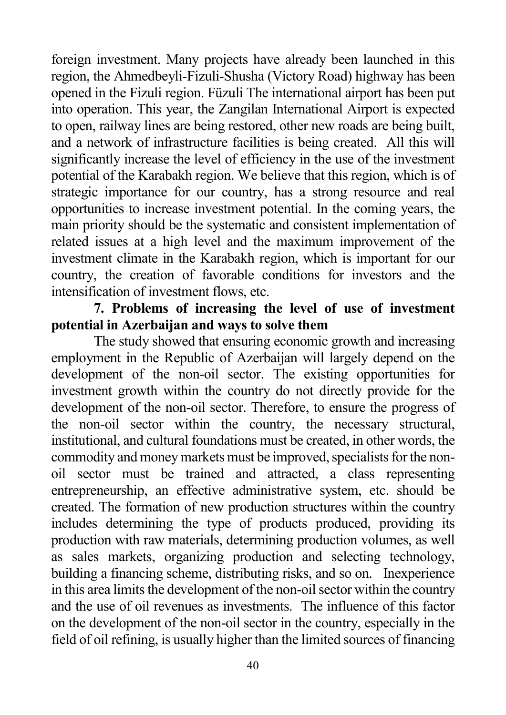foreign investment. Many projects have already been launched in this region, the Ahmedbeyli-Fizuli-Shusha (Victory Road) highway has been opened in the Fizuli region. Füzuli The international airport has been put into operation. This year, the Zangilan International Airport is expected to open, railway lines are being restored, other new roads are being built, and a network of infrastructure facilities is being created. All this will significantly increase the level of efficiency in the use of the investment potential of the Karabakh region. We believe that this region, which is of strategic importance for our country, has a strong resource and real opportunities to increase investment potential. In the coming years, the main priority should be the systematic and consistent implementation of related issues at a high level and the maximum improvement of the investment climate in the Karabakh region, which is important for our country, the creation of favorable conditions for investors and the intensification of investment flows, etc.

## **7. Problems of increasing the level of use of investment potential in Azerbaijan and ways to solve them**

The study showed that ensuring economic growth and increasing employment in the Republic of Azerbaijan will largely depend on the development of the non-oil sector. The existing opportunities for investment growth within the country do not directly provide for the development of the non-oil sector. Therefore, to ensure the progress of the non-oil sector within the country, the necessary structural, institutional, and cultural foundations must be created, in other words, the commodity and money markets must be improved, specialists for the nonoil sector must be trained and attracted, a class representing entrepreneurship, an effective administrative system, etc. should be created. The formation of new production structures within the country includes determining the type of products produced, providing its production with raw materials, determining production volumes, as well as sales markets, organizing production and selecting technology, building a financing scheme, distributing risks, and so on. Inexperience in this area limits the development of the non-oil sector within the country and the use of oil revenues as investments. The influence of this factor on the development of the non-oil sector in the country, especially in the field of oil refining, is usually higher than the limited sources of financing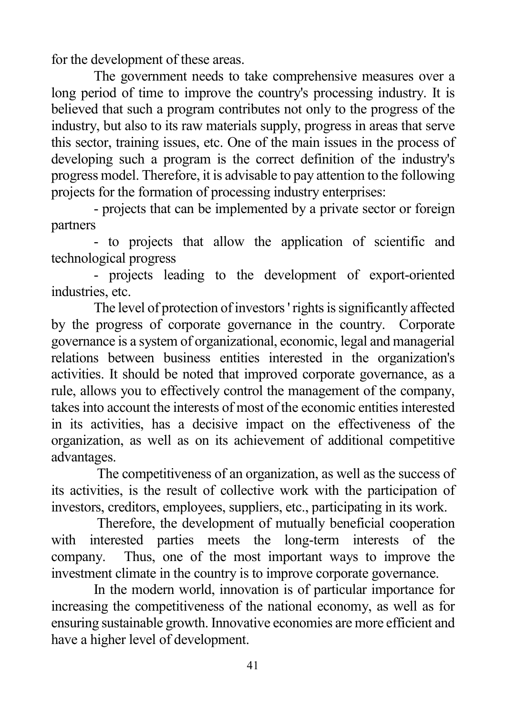for the development of these areas.

The government needs to take comprehensive measures over a long period of time to improve the country's processing industry. It is believed that such a program contributes not only to the progress of the industry, but also to its raw materials supply, progress in areas that serve this sector, training issues, etc. One of the main issues in the process of developing such a program is the correct definition of the industry's progress model. Therefore, it is advisable to pay attention to the following projects for the formation of processing industry enterprises:

- projects that can be implemented by a private sector or foreign partners

- to projects that allow the application of scientific and technological progress

- projects leading to the development of export-oriented industries, etc.

The level of protection of investors ' rights is significantly affected by the progress of corporate governance in the country. Corporate governance is a system of organizational, economic, legal and managerial relations between business entities interested in the organization's activities. It should be noted that improved corporate governance, as a rule, allows you to effectively control the management of the company, takes into account the interests of most of the economic entities interested in its activities, has a decisive impact on the effectiveness of the organization, as well as on its achievement of additional competitive advantages.

The competitiveness of an organization, as well as the success of its activities, is the result of collective work with the participation of investors, creditors, employees, suppliers, etc., participating in its work.

Therefore, the development of mutually beneficial cooperation with interested parties meets the long-term interests of the company. Thus, one of the most important ways to improve the investment climate in the country is to improve corporate governance.

In the modern world, innovation is of particular importance for increasing the competitiveness of the national economy, as well as for ensuring sustainable growth. Innovative economies are more efficient and have a higher level of development.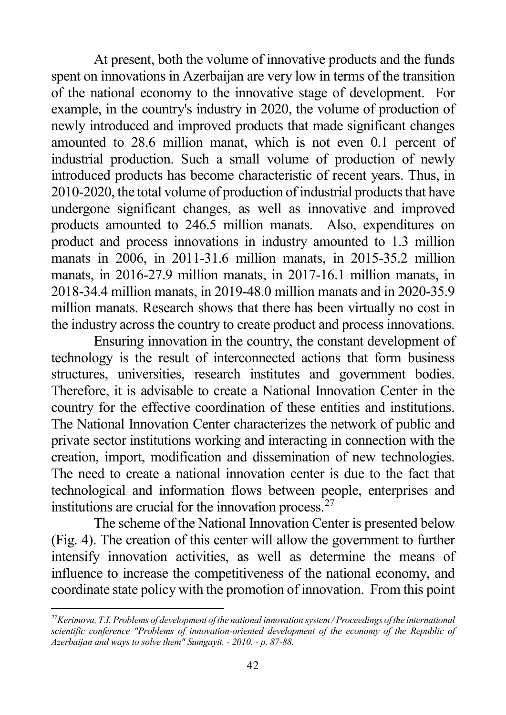<span id="page-41-0"></span>At present, both the volume of innovative products and the funds spent on innovations in Azerbaijan are very low in terms of the transition of the national economy to the innovative stage of development. For example, in the country's industry in 2020, the volume of production of newly introduced and improved products that made significant changes amounted to 28.6 million manat, which is not even 0.1 percent of industrial production. Such a small volume of production of newly introduced products has become characteristic of recent years. Thus, in 2010-2020, the total volume of production of industrial products that have undergone significant changes, as well as innovative and improved products amounted to 246.5 million manats. Also, expenditures on product and process innovations in industry amounted to 1.3 million manats in 2006, in 2011-31.6 million manats, in 2015-35.2 million manats, in 2016-27.9 million manats, in 2017-16.1 million manats, in 2018-34.4 million manats, in 2019-48.0 million manats and in 2020-35.9 million manats. Research shows that there has been virtually no cost in the industry across the country to create product and process innovations.

Ensuring innovation in the country, the constant development of technology is the result of interconnected actions that form business structures, universities, research institutes and government bodies. Therefore, it is advisable to create a National Innovation Center in the country for the effective coordination of these entities and institutions. The National Innovation Center characterizes the network of public and private sector institutions working and interacting in connection with the creation, import, modification and dissemination of new technologies. The need to create a national innovation center is due to the fact that technological and information flows between people, enterprises and institutions are crucial for the innovation process. $27$ 

The scheme of the National Innovation Center is presented below (Fig. 4). The creation of this center will allow the government to further intensify innovation activities, as well as determine the means of influence to increase the competitiveness of the national economy, and coordinate state policy with the promotion of innovation. From this point

*<sup>27</sup>Kerimova, T.I. Problems of development of the national innovation system / Proceedings of the international scientific conference "Problems of innovation-oriented development of the economy of the Republic of Azerbaijan and ways to solve them" Sumgayit. - 2010. - p. 87-88.*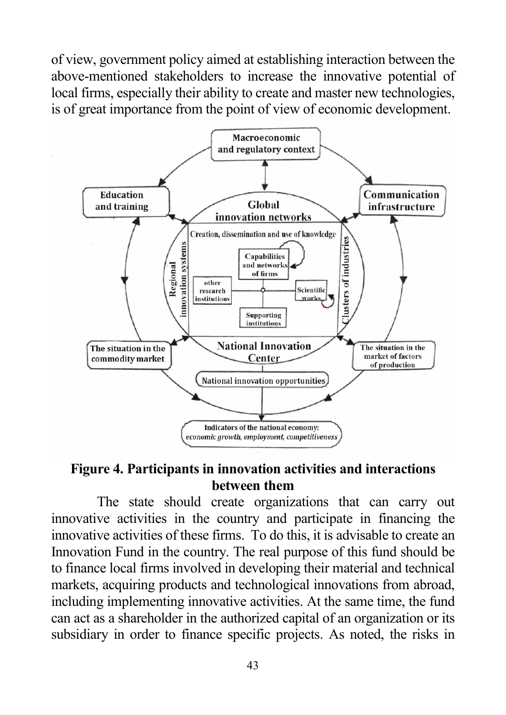of view, government policy aimed at establishing interaction between the above-mentioned stakeholders to increase the innovative potential of local firms, especially their ability to create and master new technologies, is of great importance from the point of view of economic development.



#### **Figure 4. Participants in innovation activities and interactions between them**

The state should create organizations that can carry out innovative activities in the country and participate in financing the innovative activities of these firms. To do this, it is advisable to create an Innovation Fund in the country. The real purpose of this fund should be to finance local firms involved in developing their material and technical markets, acquiring products and technological innovations from abroad, including implementing innovative activities. At the same time, the fund can act as a shareholder in the authorized capital of an organization or its subsidiary in order to finance specific projects. As noted, the risks in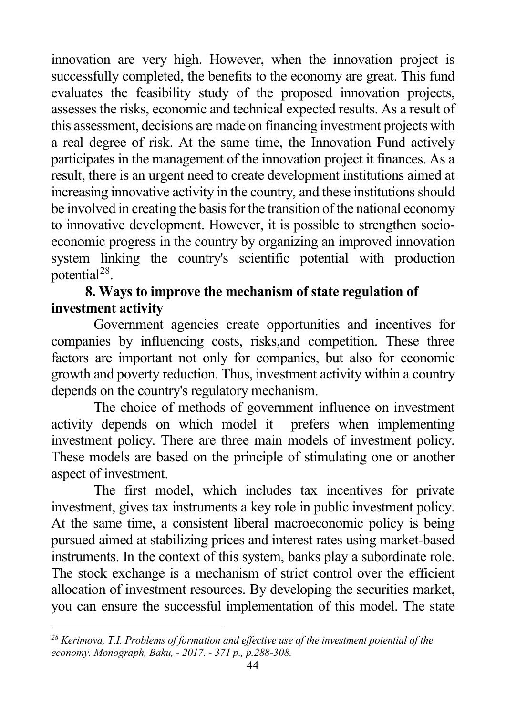<span id="page-43-0"></span>innovation are very high. However, when the innovation project is successfully completed, the benefits to the economy are great. This fund evaluates the feasibility study of the proposed innovation projects, assesses the risks, economic and technical expected results. As a result of this assessment, decisions are made on financing investment projects with a real degree of risk. At the same time, the Innovation Fund actively participates in the management of the innovation project it finances. As a result, there is an urgent need to create development institutions aimed at increasing innovative activity in the country, and these institutions should be involved in creating the basis for the transition of the national economy to innovative development. However, it is possible to strengthen socioeconomic progress in the country by organizing an improved innovation system linking the country's scientific potential with production potential[28](#page-43-0).

## **8. Ways to improve the mechanism of state regulation of investment activity**

Government agencies create opportunities and incentives for companies by influencing costs, risks,and competition. These three factors are important not only for companies, but also for economic growth and poverty reduction. Thus, investment activity within a country depends on the country's regulatory mechanism.

The choice of methods of government influence on investment activity depends on which model it prefers when implementing investment policy. There are three main models of investment policy. These models are based on the principle of stimulating one or another aspect of investment.

The first model, which includes tax incentives for private investment, gives tax instruments a key role in public investment policy. At the same time, a consistent liberal macroeconomic policy is being pursued aimed at stabilizing prices and interest rates using market-based instruments. In the context of this system, banks play a subordinate role. The stock exchange is a mechanism of strict control over the efficient allocation of investment resources. By developing the securities market, you can ensure the successful implementation of this model. The state

*<sup>28</sup> Kerimova, T.I. Problems of formation and effective use of the investment potential of the economy. Monograph, Baku, - 2017. - 371 p., p.288-308.*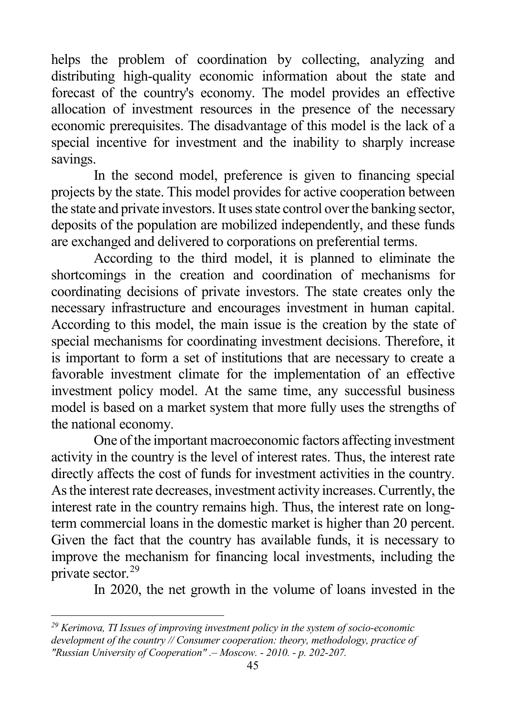<span id="page-44-0"></span>helps the problem of coordination by collecting, analyzing and distributing high-quality economic information about the state and forecast of the country's economy. The model provides an effective allocation of investment resources in the presence of the necessary economic prerequisites. The disadvantage of this model is the lack of a special incentive for investment and the inability to sharply increase savings.

In the second model, preference is given to financing special projects by the state. This model provides for active cooperation between the state and private investors. It uses state control over the banking sector, deposits of the population are mobilized independently, and these funds are exchanged and delivered to corporations on preferential terms.

According to the third model, it is planned to eliminate the shortcomings in the creation and coordination of mechanisms for coordinating decisions of private investors. The state creates only the necessary infrastructure and encourages investment in human capital. According to this model, the main issue is the creation by the state of special mechanisms for coordinating investment decisions. Therefore, it is important to form a set of institutions that are necessary to create a favorable investment climate for the implementation of an effective investment policy model. At the same time, any successful business model is based on a market system that more fully uses the strengths of the national economy.

One of the important macroeconomic factors affecting investment activity in the country is the level of interest rates. Thus, the interest rate directly affects the cost of funds for investment activities in the country. As the interest rate decreases, investment activity increases. Currently, the interest rate in the country remains high. Thus, the interest rate on longterm commercial loans in the domestic market is higher than 20 percent. Given the fact that the country has available funds, it is necessary to improve the mechanism for financing local investments, including the private sector.[29](#page-44-0)

In 2020, the net growth in the volume of loans invested in the

*<sup>29</sup> Kerimova, TI Issues of improving investment policy in the system of socio-economic development of the country // Consumer cooperation: theory, methodology, practice of "Russian University of Cooperation" .– Moscow. - 2010. - p. 202-207.*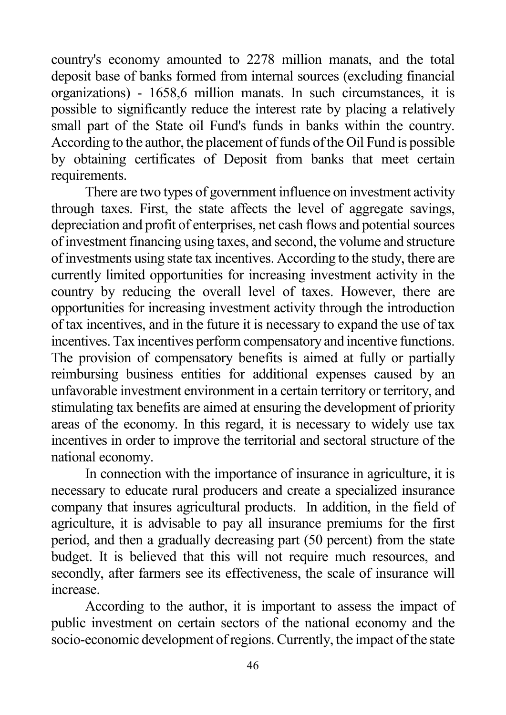country's economy amounted to 2278 million manats, and the total deposit base of banks formed from internal sources (excluding financial organizations) - 1658,6 million manats. In such circumstances, it is possible to significantly reduce the interest rate by placing a relatively small part of the State oil Fund's funds in banks within the country. According to the author, the placement of funds of the Oil Fund is possible by obtaining certificates of Deposit from banks that meet certain requirements.

There are two types of government influence on investment activity through taxes. First, the state affects the level of aggregate savings, depreciation and profit of enterprises, net cash flows and potential sources of investment financing using taxes, and second, the volume and structure of investments using state tax incentives. According to the study, there are currently limited opportunities for increasing investment activity in the country by reducing the overall level of taxes. However, there are opportunities for increasing investment activity through the introduction of tax incentives, and in the future it is necessary to expand the use of tax incentives. Tax incentives perform compensatory and incentive functions. The provision of compensatory benefits is aimed at fully or partially reimbursing business entities for additional expenses caused by an unfavorable investment environment in a certain territory or territory, and stimulating tax benefits are aimed at ensuring the development of priority areas of the economy. In this regard, it is necessary to widely use tax incentives in order to improve the territorial and sectoral structure of the national economy.

In connection with the importance of insurance in agriculture, it is necessary to educate rural producers and create a specialized insurance company that insures agricultural products. In addition, in the field of agriculture, it is advisable to pay all insurance premiums for the first period, and then a gradually decreasing part (50 percent) from the state budget. It is believed that this will not require much resources, and secondly, after farmers see its effectiveness, the scale of insurance will increase.

According to the author, it is important to assess the impact of public investment on certain sectors of the national economy and the socio-economic development of regions. Currently, the impact of the state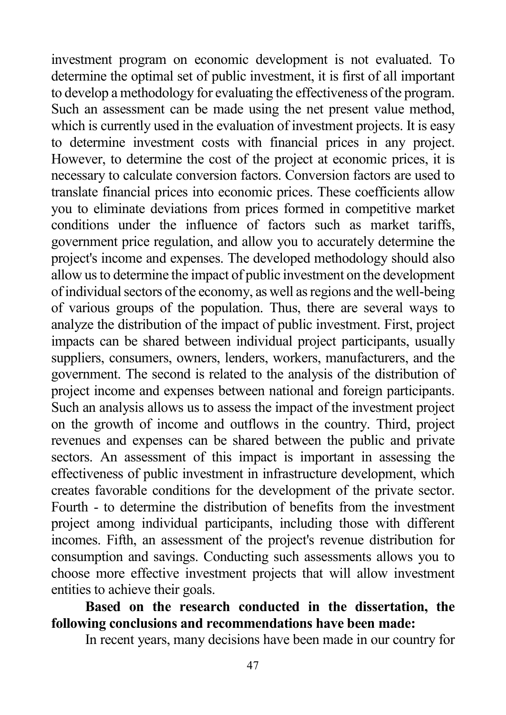investment program on economic development is not evaluated. To determine the optimal set of public investment, it is first of all important to develop a methodology for evaluating the effectiveness of the program. Such an assessment can be made using the net present value method, which is currently used in the evaluation of investment projects. It is easy to determine investment costs with financial prices in any project. However, to determine the cost of the project at economic prices, it is necessary to calculate conversion factors. Conversion factors are used to translate financial prices into economic prices. These coefficients allow you to eliminate deviations from prices formed in competitive market conditions under the influence of factors such as market tariffs, government price regulation, and allow you to accurately determine the project's income and expenses. The developed methodology should also allow us to determine the impact of public investment on the development of individual sectors of the economy, as well as regions and the well-being of various groups of the population. Thus, there are several ways to analyze the distribution of the impact of public investment. First, project impacts can be shared between individual project participants, usually suppliers, consumers, owners, lenders, workers, manufacturers, and the government. The second is related to the analysis of the distribution of project income and expenses between national and foreign participants. Such an analysis allows us to assess the impact of the investment project on the growth of income and outflows in the country. Third, project revenues and expenses can be shared between the public and private sectors. An assessment of this impact is important in assessing the effectiveness of public investment in infrastructure development, which creates favorable conditions for the development of the private sector. Fourth - to determine the distribution of benefits from the investment project among individual participants, including those with different incomes. Fifth, an assessment of the project's revenue distribution for consumption and savings. Conducting such assessments allows you to choose more effective investment projects that will allow investment entities to achieve their goals.

## **Based on the research conducted in the dissertation, the following conclusions and recommendations have been made:**

In recent years, many decisions have been made in our country for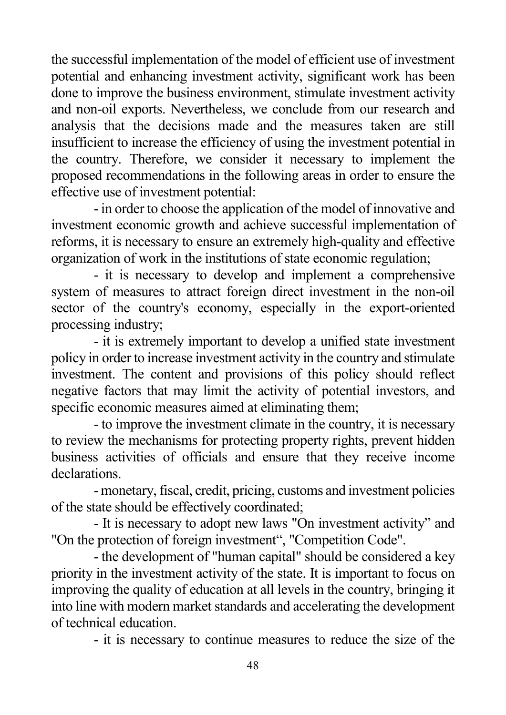the successful implementation of the model of efficient use of investment potential and enhancing investment activity, significant work has been done to improve the business environment, stimulate investment activity and non-oil exports. Nevertheless, we conclude from our research and analysis that the decisions made and the measures taken are still insufficient to increase the efficiency of using the investment potential in the country. Therefore, we consider it necessary to implement the proposed recommendations in the following areas in order to ensure the effective use of investment potential:

- in order to choose the application of the model of innovative and investment economic growth and achieve successful implementation of reforms, it is necessary to ensure an extremely high-quality and effective organization of work in the institutions of state economic regulation;

- it is necessary to develop and implement a comprehensive system of measures to attract foreign direct investment in the non-oil sector of the country's economy, especially in the export-oriented processing industry;

- it is extremely important to develop a unified state investment policy in order to increase investment activity in the country and stimulate investment. The content and provisions of this policy should reflect negative factors that may limit the activity of potential investors, and specific economic measures aimed at eliminating them;

- to improve the investment climate in the country, it is necessary to review the mechanisms for protecting property rights, prevent hidden business activities of officials and ensure that they receive income declarations.

- monetary, fiscal, credit, pricing, customs and investment policies of the state should be effectively coordinated;

- It is necessary to adopt new laws "On investment activity" and "On the protection of foreign investment", "Competition Code".

- the development of "human capital" should be considered a key priority in the investment activity of the state. It is important to focus on improving the quality of education at all levels in the country, bringing it into line with modern market standards and accelerating the development of technical education.

- it is necessary to continue measures to reduce the size of the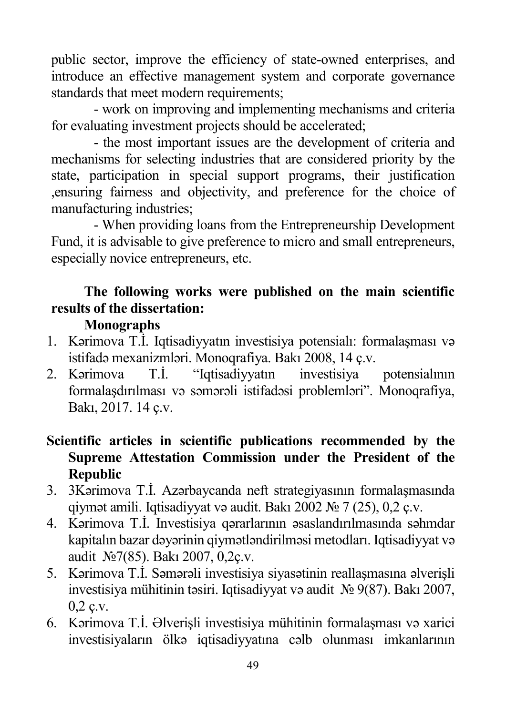public sector, improve the efficiency of state-owned enterprises, and introduce an effective management system and corporate governance standards that meet modern requirements;

- work on improving and implementing mechanisms and criteria for evaluating investment projects should be accelerated;

- the most important issues are the development of criteria and mechanisms for selecting industries that are considered priority by the state, participation in special support programs, their justification ,ensuring fairness and objectivity, and preference for the choice of manufacturing industries;

- When providing loans from the Entrepreneurship Development Fund, it is advisable to give preference to micro and small entrepreneurs, especially novice entrepreneurs, etc.

# **The following works were published on the main scientific results of the dissertation:**

## **Monographs**

- 1. Kərimova T.İ. Iqtisadiyyatın investisiya potensialı: formalaşması və istifadə mexanizmləri. Monoqrafiya. Bakı 2008, 14 ç.v.
- 2. Kərimova T.İ. "Iqtisadiyyatın investisiya potensialının formalaşdırılması və səmərəli istifadəsi problemləri". Monoqrafiya, Bakı, 2017. 14 ç.v.

## **Scientific articles in scientific publications recommended by the Supreme Attestation Commission under the President of the Republic**

- 3. 3Kərimova T.İ. Azərbaycanda neft strategiyasının formalaşmasında qiymət amili. Iqtisadiyyat və audit. Bakı 2002 № 7 (25), 0,2 ç.v.
- 4. Kərimova T.İ. Investisiya qərarlarının əsaslandırılmasında səhmdar kapitalın bazar dəyərinin qiymətləndirilməsi metodları. Iqtisadiyyat və audit №7(85). Bakı 2007, 0,2ç.v.
- 5. Kərimova T.İ. Səmərəli investisiya siyasətinin reallaşmasına əlverişli investisiya mühitinin təsiri. Iqtisadiyyat və audit № 9(87). Bakı 2007, 0,2 ç.v.
- 6. Kərimova T.İ. Əlverişli investisiya mühitinin formalaşması və xarici investisiyaların ölkə iqtisadiyyatına cəlb olunması imkanlarının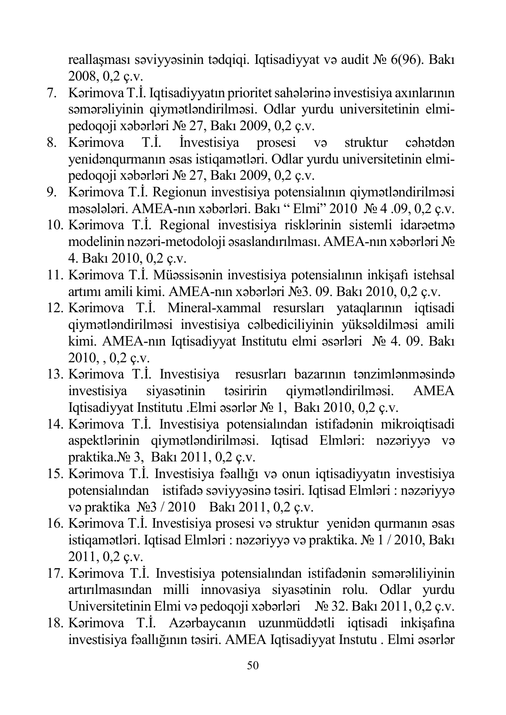reallaşması səviyyəsinin tədqiqi. Iqtisadiyyat və audit № 6(96). Bakı 2008, 0,2 ç.v.

- 7. Kərimova T.İ. Iqtisadiyyatın prioritet sahələrinə investisiya axınlarının səmərəliyinin qiymətləndirilməsi. Odlar yurdu universitetinin elmipedoqoji xəbərləri № 27, Bakı 2009, 0,2 ç.v.
- 8. Kərimova T.İ. İnvestisiya prosesi və struktur cəhətdən yenidənqurmanın əsas istiqamətləri. Odlar yurdu universitetinin elmipedoqoji xəbərləri № 27, Bakı 2009, 0,2 ç.v.
- 9. Kərimova T.İ. Regionun investisiya potensialının qiymətləndirilməsi məsələləri. AMEA-nın xəbərləri. Bakı " Elmi" 2010 № 4 .09, 0,2 ç.v.
- 10. Kərimova T.İ. Regional investisiya risklərinin sistemli idarəetmə modelinin nəzəri-metodoloji əsaslandırılması. AMEA-nın xəbərləri № 4. Bakı 2010, 0,2 ç.v.
- 11. Kərimova T.İ. Müəssisənin investisiya potensialının inkişafı istehsal artımı amili kimi. AMEA-nın xəbərləri №3. 09. Bakı 2010, 0,2 ç.v.
- 12. Kərimova T.İ. Mineral-xammal resursları yataqlarının iqtisadi qiymətləndirilməsi investisiya cəlbediciliyinin yüksəldilməsi amili kimi. AMEA-nın Iqtisadiyyat Institutu elmi əsərləri № 4. 09. Bakı 2010, , 0,2 ç.v.
- 13. Kərimova T.İ. Investisiya resusrları bazarının tənzimlənməsində investisiya siyasətinin təsiririn qiymətləndirilməsi. AMEA Iqtisadiyyat Institutu .Elmi əsərlər № 1, Bakı 2010, 0,2 ç.v.
- 14. Kərimova T.İ. Investisiya potensialından istifadənin mikroiqtisadi aspektlərinin qiymətləndirilməsi. Iqtisad Elmləri: nəzəriyyə və praktika.№ 3, Bakı 2011, 0,2 ç.v.
- 15. Kərimova T.İ. Investisiya fəallığı və onun iqtisadiyyatın investisiya potensialından istifadə səviyyəsinə təsiri. Iqtisad Elmləri : nəzəriyyə və praktika №3 / 2010 Bakı 2011, 0,2 ç.v.
- 16. Kərimova T.İ. Investisiya prosesi və struktur yenidən qurmanın əsas istiqamətləri. Iqtisad Elmləri : nəzəriyyə və praktika. № 1 / 2010, Bakı 2011, 0,2 ç.v.
- 17. Kərimova T.İ. Investisiya potensialından istifadənin səmərəliliyinin artırılmasından milli innovasiya siyasətinin rolu. Odlar yurdu Universitetinin Elmi və pedoqoji xəbərləri № 32. Bakı 2011, 0,2 ç.v.
- 18. Kərimova T.İ. Azərbaycanın uzunmüddətli iqtisadi inkişafına investisiya fəallığının təsiri. AMEA Iqtisadiyyat Instutu . Elmi əsərlər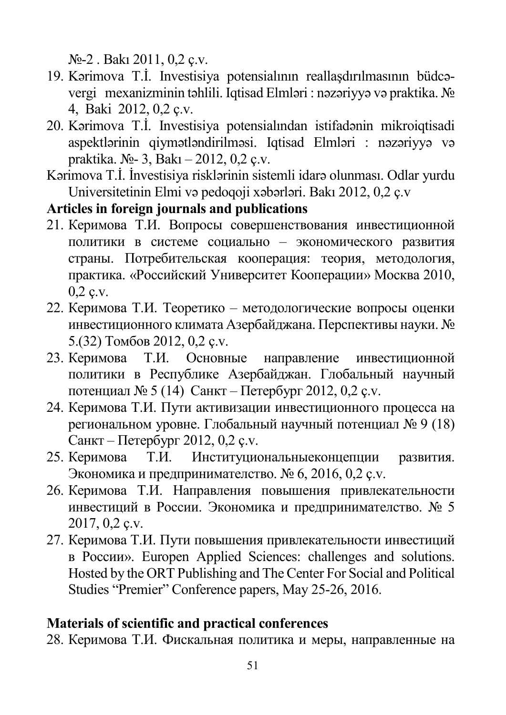№-2 . Bakı 2011, 0,2 ç.v.

- 19. Kərimova T.İ. Investisiya potensialının reallaşdırılmasının büdcəvergi mexanizminin təhlili. Iqtisad Elmləri : nəzəriyyə və praktika. № 4, Baki 2012, 0,2 ç.v.
- 20. Kərimova T.İ. Investisiya potensialından istifadənin mikroiqtisadi aspektlərinin qiymətləndirilməsi. Iqtisad Elmləri : nəzəriyyə və praktika. №- 3, Bakı – 2012, 0,2 ç.v.
- Kərimova T.İ. İnvestisiya risklərinin sistemli idarə olunması. Odlar yurdu Universitetinin Elmi və pedoqoji xəbərləri. Bakı 2012, 0,2 ç.v

## **Articles in foreign journals and publications**

- 21. Керимова Т.И. Вопросы совершенствования инвестиционной политики в системе социально – экономического развития страны. Потребительская кооперация: теория, методология, практика. «Российский Университет Кооперации» Москва 2010, 0,2 ç.v.
- 22. Керимова Т.И. Теоретико методологические вопросы оценки инвестиционного климата Азербайджана. Перспективы науки. № 5.(32) Томбов 2012, 0,2 ç.v.
- 23. Керимова Т.И. Основные направление инвестиционной политики в Республике Азербайджан. Глобальный научный потенциал № 5 (14) Санкт – Петербург 2012, 0,2 ç.v.
- 24. Керимова Т.И. Пути активизации инвестиционного процесса на региональном уровне. Глобальный научный потенциал № 9 (18) Санкт – Петербург 2012, 0,2 ç.v.
- 25. Керимова Т.И. Институциональныеконцепции развития. Экономика и предпринимателство. № 6, 2016, 0,2 ç.v.
- 26. Керимова Т.И. Направления повышения привлекательности инвестиций в России. Экономика и предпринимателство. № 5 2017, 0,2 ç.v.
- 27. Керимова Т.И. Пути повышения привлекательности инвестиций в России». Europen Applied Sciences: challenges and solutions. Hosted by the ORT Publishing and The Center For Social and Political Studies "Premier" Conference papers, May 25-26, 2016.

# **Materials of scientific and practical conferences**

28. Керимова Т.И. Фискальная политика и меры, направленные на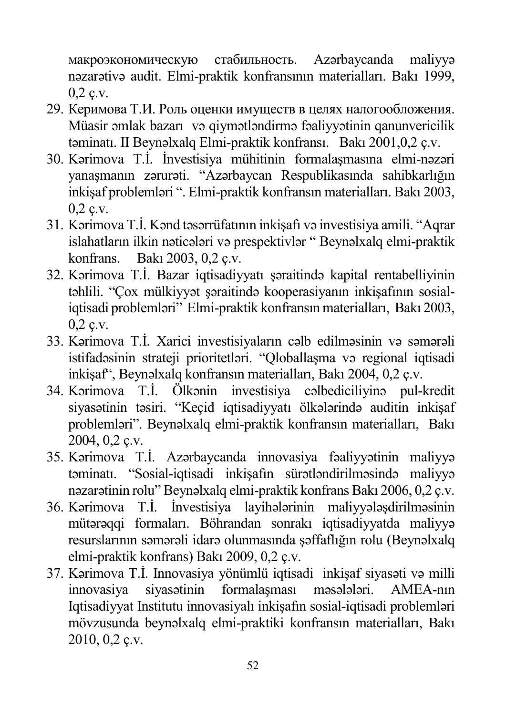макроэкономическую стабильность. Azərbaycanda maliyyə nəzarətivə audit. Elmi-praktik konfransının materialları. Bakı 1999, 0,2 ç.v.

- 29. Керимова Т.И. Роль оценки имуществ в целях налогообложения. Müasir əmlak bazarı və qiymətləndirmə fəaliyyətinin qanunvericilik təminatı. II Beynəlxalq Elmi-praktik konfransı. Bakı 2001,0,2 ç.v.
- 30. Kərimova T.İ. İnvestisiya mühitinin formalaşmasına elmi-nəzəri yanaşmanın zərurəti. "Azərbaycan Respublikasında sahibkarlığın inkişaf problemləri ". Elmi-praktik konfransın materialları. Bakı 2003,  $0,2$  c.v.
- 31. Kərimova T.İ. Kənd təsərrüfatının inkişafı və investisiya amili. "Aqrar islahatların ilkin nəticələri və prespektivlər " Beynəlxalq elmi-praktik konfrans. Bakı 2003, 0,2 ç.v.
- 32. Kərimova T.İ. Bazar iqtisadiyyatı şəraitində kapital rentabelliyinin təhlili. "Çox mülkiyyət şəraitində kooperasiyanın inkişafının sosialiqtisadi problemləri" Elmi-praktik konfransın materialları, Bakı 2003, 0,2 ç.v.
- 33. Kərimova T.İ. Xarici investisiyaların cəlb edilməsinin və səmərəli istifadəsinin strateji prioritetləri. "Oloballasma və regional iqtisadi inkişaf", Beynəlxalq konfransın materialları, Bakı 2004, 0,2 ç.v.
- 34. Kərimova T.İ. Ölkənin investisiya cəlbediciliyinə pul-kredit siyasətinin təsiri. "Keçid iqtisadiyyatı ölkələrində auditin inkişaf problemləri". Beynəlxalq elmi-praktik konfransın materialları, Bakı 2004, 0,2 ç.v.
- 35. Kərimova T.İ. Azərbaycanda innovasiya fəaliyyətinin maliyyə təminatı. "Sosial-iqtisadi inkişafın sürətləndirilməsində maliyyə nəzarətinin rolu" Beynəlxalq elmi-praktik konfrans Bakı 2006, 0,2 ç.v.
- 36. Kərimova T.İ. İnvestisiya layihələrinin maliyyələşdirilməsinin mütərəqqi formaları. Böhrandan sonrakı iqtisadiyyatda maliyyə resurslarının səmərəli idarə olunmasında şəffaflığın rolu (Beynəlxalq elmi-praktik konfrans) Bakı 2009, 0,2 ç.v.
- 37. Kərimova T.İ. Innovasiya yönümlü iqtisadi inkişaf siyasəti və milli innovasiya siyasətinin formalaşması məsələləri. AMEA-nın Iqtisadiyyat Institutu innovasiyalı inkişafın sosial-iqtisadi problemləri mövzusunda beynəlxalq elmi-praktiki konfransın materialları, Bakı 2010, 0,2 ç.v.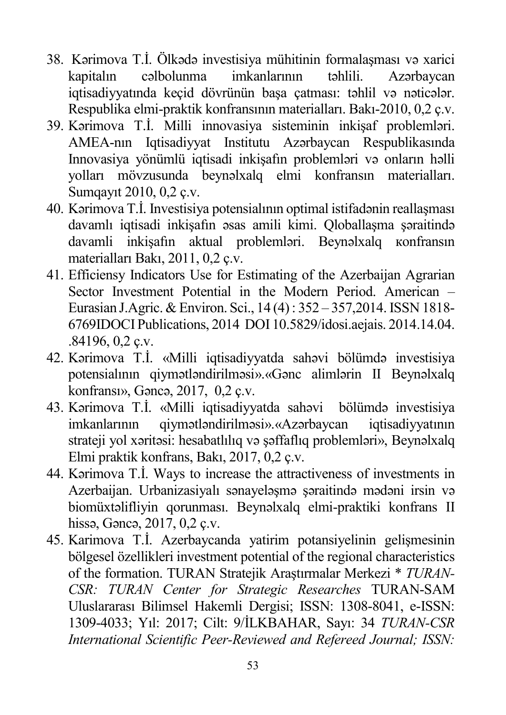- 38. Kərimova T.İ. Ölkədə investisiya mühitinin formalaşması və xarici kapitalın cəlbolunma imkanlarının təhlili. Azərbaycan iqtisadiyyatında keçid dövrünün başa çatması: təhlil və nəticələr. Respublika elmi-praktik konfransının materialları. Bakı-2010, 0,2 ç.v.
- 39. Kərimova T.İ. Milli innovasiya sisteminin inkişaf problemləri. AMEA-nın Iqtisadiyyat Institutu Azərbaycan Respublikasında Innovasiya yönümlü iqtisadi inkişafın problemləri və onların həlli yolları mövzusunda beynəlxalq elmi konfransın materialları. Sumqayıt 2010, 0,2 ç.v.
- 40. Kərimova T.İ. Investisiya potensialının optimal istifadənin reallaşması davamlı iqtisadi inkişafın əsas amili kimi. Qloballaşma şəraitində davamli inkişafın aktual problemləri. Beynəlxalq кonfransın materialları Bakı, 2011, 0,2 ç.v.
- 41. Efficiensy Indicators Use for Estimating of the Azerbaijan Agrarian Sector Investment Potential in the Modern Period. American – Eurasian J.Agric. & Environ. Sci., 14 (4) : 352 – 357,2014. ISSN 1818- 6769IDOCI Publications, 2014 DOI 10.5829/idosi.aejais. 2014.14.04. .84196, 0,2 ç.v.
- 42. Kərimova T.İ. «Milli iqtisadiyyatda sahəvi bölümdə investisiya potensialının qiymətləndirilməsi».«Gənc alimlərin II Beynəlxalq konfransı», Gəncə, 2017, 0,2 ç.v.
- 43. Kərimova T.İ. «Milli iqtisadiyyatda sahəvi bölümdə investisiya imkanlarının qiymətləndirilməsi».«Azərbaycan iqtisadiyyatının strateji yol xəritəsi: hesabatlılıq və şəffaflıq problemləri», Beynəlxalq Elmi praktik konfrans, Bakı, 2017, 0,2 ç.v.
- 44. Kərimova T.İ. Ways to increase the attractiveness of investments in Azerbaijan. Urbanizasiyalı sənayeləşmə şəraitində mədəni irsin və biomüxtəlifliyin qorunması. Beynəlxalq elmi-praktiki konfrans II hissə, Gəncə, 2017, 0,2 ç.v.
- 45. Karimova T.İ. Azerbaycanda yatirim potansiyelinin gelişmesinin bölgesel özellikleri investment potential of the regional characteristics of the formation. TURAN Stratejik Araştırmalar Merkezi \* *TURAN-CSR: TURAN Center for Strategic Researches* TURAN-SAM Uluslararası Bilimsel Hakemli Dergisi; ISSN: 1308-8041, e-ISSN: 1309-4033; Yıl: 2017; Cilt: 9/İLKBAHAR, Sayı: 34 *TURAN-CSR International Scientific Peer-Reviewed and Refereed Journal; ISSN:*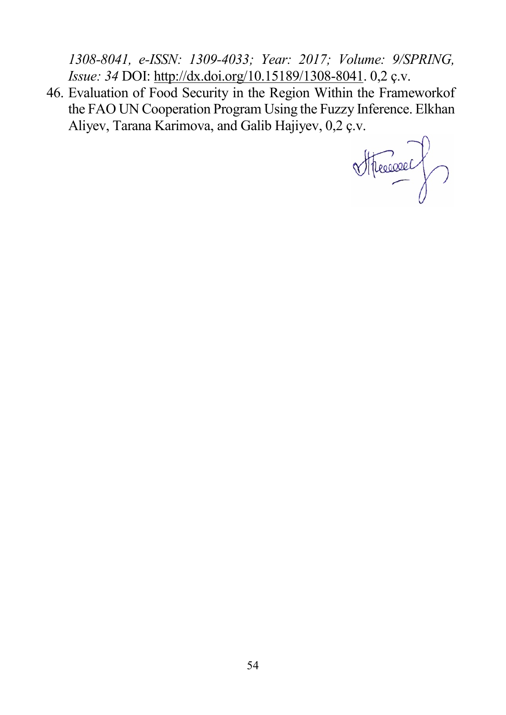*1308-8041, e-ISSN: 1309-4033; Year: 2017; Volume: 9/SPRING, Issue: 34* DOI: [http://dx.doi.org/10.15189/1308](http://dx.doi.org/10.15189/1308-8041)-8041. 0,2 ç.v.

46. Evaluation of Food Security in the Region Within the Frameworkof the FAO UN Cooperation Program Using the Fuzzy Inference. Elkhan Aliyev, Tarana Karimova, and Galib Hajiyev, 0,2 ç.v.

Stressore)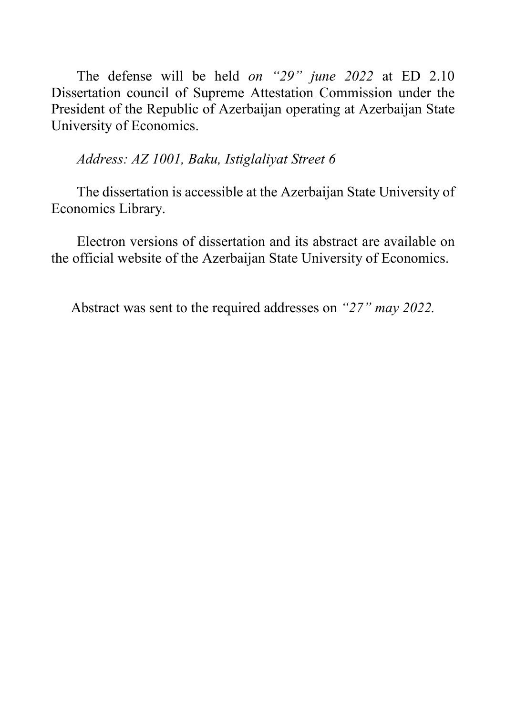The defense will be held *on "29" june 2022* at ED 2.10 Dissertation council of Supreme Attestation Commission under the President of the Republic of Azerbaijan operating at Azerbaijan State University of Economics.

*Address: AZ 1001, Baku, Istiglaliyat Street 6*

The dissertation is accessible at the Azerbaijan State University of Economics Library.

Electron versions of dissertation and its abstract are available on the official website of the Azerbaijan State University of Economics.

Abstract was sent to the required addresses on *"27" may 2022.*